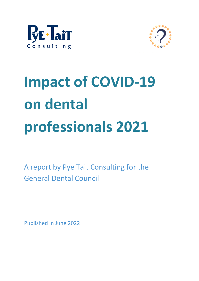



# **Impact of COVID-19 on dental professionals 2021**

A report by Pye Tait Consulting for the General Dental Council

Published in June 2022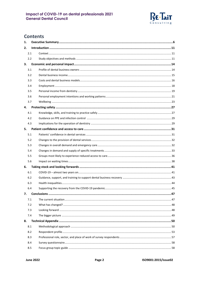

# **Contents**

| 1.  |     |  |
|-----|-----|--|
| 2.  |     |  |
|     | 2.1 |  |
|     | 2.2 |  |
| 3.  |     |  |
|     | 3.1 |  |
|     | 3.2 |  |
|     | 3.3 |  |
|     | 3.4 |  |
|     | 3.5 |  |
|     | 3.6 |  |
|     | 3.7 |  |
| 4.  |     |  |
|     | 4.1 |  |
|     | 4.2 |  |
|     | 4.3 |  |
| 5.  |     |  |
|     | 5.1 |  |
| 5.2 |     |  |
|     | 5.3 |  |
|     | 5.4 |  |
| 5.5 |     |  |
|     | 5.6 |  |
| 6.  |     |  |
|     | 6.1 |  |
| 6.2 |     |  |
|     | 6.3 |  |
| 6.4 |     |  |
| 7.  |     |  |
| 7.1 |     |  |
| 7.2 |     |  |
| 7.3 |     |  |
|     | 7.4 |  |
| 8.  |     |  |
| 8.1 |     |  |
| 8.2 |     |  |
| 8.3 |     |  |
| 8.4 |     |  |
| 8.5 |     |  |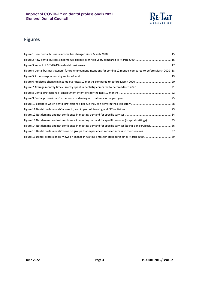

# **Figures**

| 18. Figure 4 Dental business owners' future employment intentions for coming 12 months compared to before March 2020 |  |
|----------------------------------------------------------------------------------------------------------------------|--|
|                                                                                                                      |  |
|                                                                                                                      |  |
|                                                                                                                      |  |
|                                                                                                                      |  |
|                                                                                                                      |  |
|                                                                                                                      |  |
|                                                                                                                      |  |
|                                                                                                                      |  |
| Figure 13 Net demand and net confidence in meeting demand for specific services (hospital settings)35                |  |
| Figure 14 Net demand and net confidence in meeting demand for specific services (technician services)36              |  |
| Figure 15 Dental professionals' views on groups that experienced reduced access to their services37                  |  |
|                                                                                                                      |  |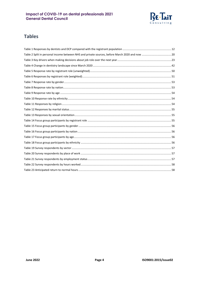

# **Tables**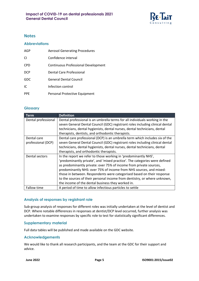

## **Notes**

#### **Abbreviations**

| AGP        | <b>Aerosol Generating Procedures</b>       |
|------------|--------------------------------------------|
| CI.        | Confidence interval                        |
| <b>CPD</b> | <b>Continuous Professional Development</b> |
| <b>DCP</b> | Dental Care Professional                   |
| <b>GDC</b> | <b>General Dental Council</b>              |
| IC.        | Infection control                          |
| <b>PPE</b> | Personal Protective Equipment              |

## **Glossary**

| <b>Term</b>         | <b>Definition</b>                                                             |
|---------------------|-------------------------------------------------------------------------------|
| Dental professional | Dental professional is an umbrella terms for all individuals working in the   |
|                     | seven General Dental Council (GDC) registrant roles including clinical dental |
|                     | technicians, dental hygienists, dental nurses, dental technicians, dental     |
|                     | therapists, dentists, and orthodontic therapists.                             |
| Dental care         | Dental care professional (DCP) is an umbrella term which includes six of the  |
| professional (DCP)  | seven General Dental Council (GDC) registrant roles including clinical dental |
|                     | technicians, dental hygienists, dental nurses, dental technicians, dental     |
|                     | therapists, and orthodontic therapists.                                       |
| Dental sectors      | In the report we refer to those working in 'predominantly NHS',               |
|                     | 'predominantly private', and 'mixed practice'. The categories were defined    |
|                     | as predominantly private: over 75% of income from private sources,            |
|                     | predominantly NHS: over 75% of income from NHS sources, and mixed:            |
|                     | those in between. Respondents were categorised based on their response        |
|                     | to the sources of their personal income from dentistry, or where unknown,     |
|                     | the income of the dental business they worked in.                             |
| Fallow time         | A period of time to allow infectious particles to settle                      |

## **Analysis of responses by registrant role**

Sub-group analysis of responses for different roles was initially undertaken at the level of dentist and DCP. Where notable differences in responses at dentist/DCP level occurred, further analysis was undertaken to examine responses by specific role to test for statistically significant differences.

## **Supplementary material**

Full data tables will be published and made available on the GDC website.

#### **Acknowledgements**

We would like to thank all research participants, and the team at the GDC for their support and advice.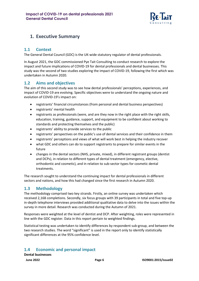

# <span id="page-5-0"></span>**1. Executive Summary**

## **1.1 Context**

The General Dental Council (GDC) is the UK-wide statutory regulator of dental professionals.

In August 2021, the GDC commissioned Pye Tait Consulting to conduct research to explore the impact and future implications of COVID-19 for dental professionals and dental businesses. This study was the second of two studies exploring the impact of COVID-19, following the first which was undertaken in Autumn 2020.

## **1.2 Aims and objectives**

The aim of this second study was to see how dental professionals' perceptions, experiences, and impact of COVID-19 are evolving. Specific objectives were to understand the ongoing nature and evolution of COVID-19's impact on:

- registrants' financial circumstances (from personal and dental business perspectives)
- registrants' mental health
- registrants as professionals (were, and are they now in the right place with the right skills, education, training, guidance, support, and equipment to be confident about working to standards and protecting themselves and the public)
- registrants' ability to provide services to the public
- registrants' perspectives on the public's use of dental services and their confidence in them
- registrants' perceptions and views of what will work best in helping the industry recover
- what GDC and others can do to support registrants to prepare for similar events in the future
- changes in the dental sectors (NHS, private, mixed), in different registrant groups (dentist and DCPs), in relation to different types of dental treatment (emergency, elective, orthodontic and cosmetic), and in relation to sub-sector types for cosmetic dental treatments.

The research sought to understand the continuing impact for dental professionals in different sectors and nations, and how this had changed since the first research in Autumn 2020.

## **1.3 Methodology**

The methodology comprised two key strands. Firstly, an online survey was undertaken which received 2,168 completions. Secondly, six focus groups with 39 participants in total and five top-up in-depth telephone interviews provided additional qualitative data to delve into the issues within the survey in more detail. Research was conducted during the Autumn of 2021.

Responses were weighted at the level of dentist and DCP. After weighting, roles were represented in line with the GDC register. Data in this report pertain to weighted findings.

Statistical testing was undertaken to identify differences by respondent sub-group, and between the two research studies. The word "significant" is used in the report only to identify statistically significant differences at the 95% confidence level.

## **1.4 Economic and personal impact**

**Dental businesses**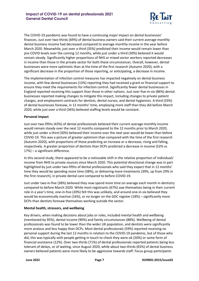

The COVID-19 pandemic was found to have a continuing major impact on dental businesses' finances. Just over two-thirds (69%) of dental business owners said their current average monthly dental business income had decreased compared to average monthly income in the year before March 2020. Meanwhile, just over a third (35%) predicted their income would remain lower than pre-COVID levels over the coming 12 months, while just under a third (30%) believed it would remain steady. Significantly higher proportions of NHS or mixed sector workers reported decreases in income than those in the private sector for both these circumstances. Overall, however, dental businesses were more optimistic than at the time of the first research (Autumn 2020), with a significant decrease in the proportion of those reporting, or anticipating, a decrease in income.

The implementation of infection control measures has impacted negatively on dental business income, with few dental businesses (13%) reporting they had received a grant or financial support to ensure they meet the requirements for infection control. Significantly fewer dental businesses in England reported receiving this support than those in other nations. Just over five-in-six (86%) dental businesses reported making changes to mitigate this impact, including changes to private patient charges, and employment contracts for dentists, dental nurses, and dental hygienists. A third (33%) of dental businesses foresaw, in 12 months' time, employing more staff than they did before March 2020, while just over a third (36%) believed staffing levels would be constant.

#### **Personal impact**

Just over two-fifths (43%) of dental professionals believed their current average monthly income would remain steady over the next 12 months compared to the 12 months prior to March 2020, while just under a third (30%) believed their income over the next year would be lower than before COVID-19. This was a picture of greater optimism than compared with the time of the first research (Autumn 2020), with proportions of those predicting an increase or a decrease, rising and falling, respectively. A greater proportion of dentists than DCPs predicted a decrease in income (52% vs 17%) – a significant difference.

In this second study, there appeared to be a noticeable shift in the relative proportion of individuals' income from NHS to private sources since March 2020. This potential directional change was in part highlighted by just under two-fifths of dental professionals who said they expect that in 12 months' time they would be spending more time (38%), or delivering more treatments (39%, up from 29% in the first research), in private dental care compared to before COVID-19.

Just under two-in-five (38%) believed they now spend more time on average each month in dentistry compared to before March 2020. While most registrants (67%) saw themselves being in their current role in a year's time, one-in-five (20%) felt this was unlikely, and around one-in-six believed they would be economically inactive (16%), or no longer on the GDC register (18%) – significantly more DCPs than dentists foresaw themselves working outside the sector.

#### **Mental health, stressors, and wellbeing**

Key drivers, when making decisions about jobs or roles, included mental health and wellbeing (mentioned by 95%), dental income (90%) and family circumstances (88%). Wellbeing of dental professionals was found to be lower than the wider UK population, and dentists were significantly more anxious and less happy than DCPs. Most dental professionals (59%) reported receiving no personal support during the last 12 months in relation to the COVID-19 pandemic, but of those who did, this was typically with people getting in touch to check they were ok (20%) or some form of financial assistance (12%). Over two-thirds (71%) of dental professionals reported patients being less tolerant of delays, or of waiting, since August 2020, while about two-thirds (65%) of dental business owners believed patients were more likely to be aggressive towards staff. Focus group participants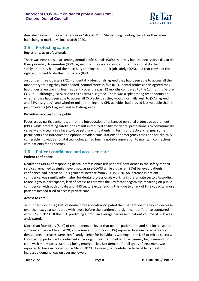

described some of their experiences as "stressful" or "demanding", noting the job as they knew it had changed markedly since March 2020.

## **1.5 Protecting safety**

#### **Registrants as professionals**

There was near consensus among dental professionals (98%) that they had the necessary skills to do their job safely. Nine-in-ten (90%) agreed that they were confident that they could do their job safely, that they had had the necessary training to do their job safely (90%), and that they had the right equipment to do their job safely (89%).

Just under three-quarters (72%) of dental professionals agreed they had been able to access all the mandatory training they had needed. Around three-in-five (61%) dental professionals agreed they had undertaken training less frequently over the past 12 months compared to the 12 months before COVID-19 although just over one-third (36%) disagreed. There was a split among respondents on whether they had been able to access all CPD activities they would normally wish to (57% agreed and 41% disagreed), and whether online training and CPD activities had proved less valuable than inperson events (45% agreed and 47% disagreed).

#### **Providing services to the public**

Focus group participants noted that the introduction of enhanced personal protective equipment (PPE), while protecting safety, does result in reduced ability for dental professionals to communicate verbally and visually in a face-to-face setting with patients. In terms of practical changes, some participants had introduced telephone or video consultations for emergency cases and for clinically vulnerable individuals. Digital technologies had been a notable innovation to maintain connection with patients for all sectors.

## **1.6 Patient confidence and access to care**

#### **Patient confidence**

Nearly half (49%) of responding dental professionals felt patients' confidence in the safety of their services remained at similar levels now as pre-COVID while a quarter (25%) believed patients' confidence had increased – a significant increase from 20% in 2020. An increase in patient confidence was significantly higher for dental professionals working in the private sector. According to focus group participants, lack of access to care was the key factor negatively impacting on public confidence, with both private and NHS sectors experiencing this, due to a lack of NHS capacity, more patients instead tried to access private care.

#### **Access to care**

Just under two-fifths (38%) of dental professionals anticipated their patient volume would decrease over the next year compared with levels before the pandemic– a significant difference compared with 66% in 2020. Of the 38% predicting a drop, an average decrease in patient volume of 30% was anticipated.

More than four-fifths (84%) of respondents believed that overall patient demand had increased to some extent since March 2020, and a similar proportion (81%) reported likewise for emergency dental care. Increases were significantly higher for individuals working in the NHS or mixed sectors. Focus group participants confirmed a backlog in treatment had led to extremely high demand for care, with many cases currently being emergencies. Net demand for all types of treatment was reported to have increased since March 2020. However, net confidence to be able to meet this increased demand was on average lower.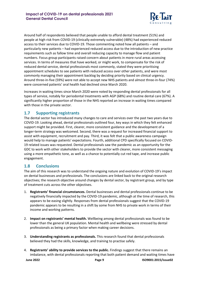

Around half of respondents believed that people unable to afford dental treatment (51%) and people at high risk from COVID-19 (clinically extremely vulnerable) (48%) had experienced reduced access to their services due to COVID-19. Those commenting noted how all patients – and particularly new patients – had experienced reduced access due to the introduction of new practice requirements such as fallow time and overall reducing capacity to manage flow and patient numbers. Focus group participants raised concern about patients in more rural areas accessing services. In terms of measures that have worked, or might work, to compensate for the risk of reduced dental service, dental professionals most commonly, stated they were prioritising appointment schedules to see patients with reduced access over other patients, and were most commonly managing their appointment backlog by deciding priority based on clinical urgency. Around three-in-five (59%) were not able to accept new NHS patients and almost three-in-four (74%) were concerned patients' oral health had declined since March 2020.

Increases in waiting times since March 2020 were noted by responding dental professionals for all types of service, notably for periodontal treatments with AGP (68%) and routine dental care (67%). A significantly higher proportion of those in the NHS reported an increase in waiting times compared with those in the private sector.

## **1.7 Supporting registrants**

The dental sector has introduced many changes to care and services over the past two years due to COVID-19. Looking ahead, dental professionals outlined four, key ways in which they felt enhanced support might be provided. First, clearer, more consistent guidance and the development of a longer-term strategy was welcomed. Second, there was a request for increased financial support to assist with equipment, recruitment and pay. Third, it was felt that a public awareness campaign would help to manage patients' expectations. Fourth, additional CPD specifically focused on COVID-19 related issues was requested. Dental professionals saw the pandemic as an opportunity for the GDC to work with other stakeholders to provide the sector with clearer, more consistent messaging using a more empathetic tone, as well as a chance to potentially cut red tape, and increase public engagement.

## **1.8 Conclusions**

The aim of this research was to understand the ongoing nature and evolution of COVID-19's impact on dental businesses and professionals. The conclusions are linked back to the original research objectives; the research objective around changes by dental sector, by registrant group, and by type of treatment cuts across the other objectives.

- 1. **Registrants' financial circumstances.** Dental businesses and dental professionals continue to be negatively financially impacted by the COVID-19 pandemic, although at the time of research, this appears to be easing slightly. Responses from dental professionals suggest that the COVID-19 pandemic appears to be resulting in a shift by some from NHS to private work in terms of their income and working patterns.
- 2. **Impact on registrants' mental health.** Wellbeing among dental professionals was found to be lower than the general UK population. Mental health and wellbeing were stressed by dental professionals as being a primary factor when making career decisions.
- 3. **Understanding registrants as professionals.** This research found that dental professionals believed they had the skills, knowledge, and training to practise safely.
- 4. **Registrants' ability to provide services to the public.** Findings suggest that there remains an imbalance, with dental professionals reporting that both patient demand and waiting times have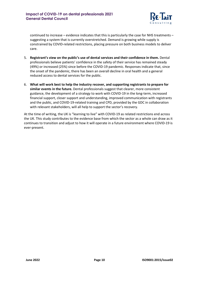

continued to increase – evidence indicates that this is particularly the case for NHS treatments – suggesting a system that is currently overstretched. Demand is growing while supply is constrained by COVID-related restrictions, placing pressure on both business models to deliver care.

- 5. **Registrant's view on the public's use of dental services and their confidence in them.** Dental professionals believe patients' confidence in the safety of their service has remained steady (49%) or increased (25%) since before the COVID-19 pandemic. Responses indicate that, since the onset of the pandemic, there has been an overall decline in oral health and a general reduced access to dental services for the public.
- 6. **What will work best to help the industry recover, and supporting registrants to prepare for similar events in the future.** Dental professionals suggest that clearer, more consistent guidance, the development of a strategy to work with COVID-19 in the long-term, increased financial support, closer support and understanding, improved communication with registrants and the public, and COVID-19-related training and CPD, provided by the GDC in collaboration with relevant stakeholders, will all help to support the sector's recovery.

At the time of writing, the UK is "learning to live" with COVID-19 as related restrictions end across the UK. This study contributes to the evidence base from which the sector as a whole can draw as it continues to transition and adjust to how it will operate in a future environment where COVID-19 is ever-present.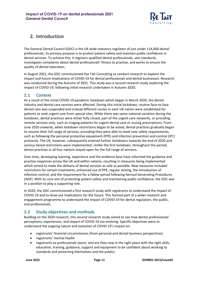

# <span id="page-10-0"></span>**2. Introduction**

The General Dental Council (GDC) is the UK-wide statutory regulator of just under 114,000 dental professionals. Its primary purpose is to protect patient safety and maintain public confidence in dental services. To achieve this, it registers qualified dental professionals, sets standards, investigates complaints about dental professionals' fitness to practise, and works to ensure the quality of dental education.

In August 2021, the GDC commissioned Pye Tait Consulting to conduct research to explore the impact and future implications of COVID-19 for dental professionals and dental businesses. Research was conducted during the Autumn of 2021. This study was a second research study exploring the impact of COVID-19, following initial research undertaken in Autumn 2020.

## <span id="page-10-1"></span>**2.1 Context**

As a result of the initial COVID-19 pandemic lockdown which began in March 2020, the dental industry and dental care services were affected. During this initial lockdown, routine face-to-face dental care was suspended and instead different routes in each UK nation were established for patients to seek urgent care from special sites. While there was some national variation during the lockdown, dental practices were either fully closed, part of the urgent care networks, or providing remote services only, such as triaging patients for urgent dental care or issuing prescriptions. From June 2020 onwards, when lockdown restrictions began to be eased, dental practices gradually began to resume their full range of services, providing they were able to meet new safety requirements, such as following the personal protective equipment (PPE) and infection prevention and control (IPC) protocols. The UK, however, subsequently entered further lockdowns towards the end of 2020 and various tiered restrictions were implemented. Unlike the first lockdown, throughout this period, dental practices in all four nations stayed open for the full range of services.

Over time, developing learning, experience and the evidence base have informed the guidance and practise responses across the UK and within nations, resulting in measures being implemented which aimed to make the delivery of dental services as safe as possible. New measures included restrictions for certain treatments, enhanced use of PPE, regular testing, the introduction of infection control, and the requirement for a fallow period following Aerosol Generating Procedures (AGP). With its core aim of protecting patient safety and maintaining public confidence, the GDC was in a position to play a supporting role.

In 2020, the GDC commissioned a first research study with registrants to understand the impact of COVID-19 and to draw out implications for the future. This formed part of a wider research and engagement programme to understand the impact of COVID-19 for dental regulation, the public, and professionals.

## <span id="page-10-2"></span>**2.2 Study objectives and methods**

Building on the 2020 research, this second research study aimed to see how dental professionals' perceptions, experiences, and impact of COVID-19 are evolving. Specific objectives were to understand the ongoing nature and evolution of COVID-19's impact on:

- registrants' financial circumstances (from personal and dental business perspectives)
- registrants' mental health
- registrants as professionals (were, and are they now in the right place with the right skills, education, training, guidance, support and equipment to be confident about working to standards and protecting themselves and the public)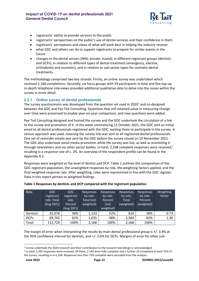

- registrants' ability to provide services to the public
- registrants' perspectives on the public's use of dental services and their confidence in them
- registrants' perceptions and views of what will work best in helping the industry recover
- what GDC and others can do to support registrants to prepare for similar events in the future
- changes in the dental sectors (NHS, private, mixed), in different registrant groups (dentists and DCPs), in relation to different types of dental treatment (emergency, elective, orthodontic and cosmetic), and in relation to sub-sector types for cosmetic dental treatments.

The methodology comprised two key strands. Firstly, an online survey was undertaken which received 2,168 completions. Secondly, six focus groups with 39 participants in total and five top-up in-depth telephone interviews provided additional qualitative data to delve into the issues within the survey in more detail.

#### **2.2.1 Online survey of dental professionals**

The survey questionnaire was developed from the question set used in 2020 $<sup>1</sup>$  $<sup>1</sup>$  $<sup>1</sup>$  and co-designed</sup> between the GDC and Pye Tait Consulting. Questions that still retained value in measuring change over time were preserved to enable year-on-year comparison, and new questions were added.

Pye Tait Consulting designed and hosted the survey and the GDC undertook the circulation of a link to the survey and promotion of it. In the week commencing 11 October 2021, the GDC sent an initial email to all dental professionals registered with the GDC, inviting them to participate in the survey. A census approach was used, meaning the survey link was sent to all registered dental professionals. One set of reminder emails was sent by the GDC before the survey closed on 19 November 2021. The GDC also undertook social media promotion while the survey was live, as well as promoting it through newsletters and via other sector bodies. In total, [2](#page-11-2),168 complete responses were received,<sup>2</sup> resulting in a response rate of c. 2%. An overview of the respondent profile can be found in the Appendix 8.2.

Responses were weighted at the level of dentist and DCP. Table 1 outlines the composition of the GDC registrant population, the unweighted responses by role, the weighting factors applied, and the final weighted response rate. After weighting, roles were represented in line with the GDC register. Data in this report pertain to weighted findings.

| Role            | GDC<br>registrant<br>role: Total<br>(Aug 2021) | GDC<br>registrant<br>role:<br>Percent<br>(Aug 2021) | Responses<br>by role:<br>Total (not<br>weighted) | Responses<br>by role:<br>Percent<br>(not<br>weighted) | Responses<br>by role:<br>Total<br>(weighted) | Responses<br>by role:<br>Percent<br>(weighted) | Weighting<br>factor |
|-----------------|------------------------------------------------|-----------------------------------------------------|--------------------------------------------------|-------------------------------------------------------|----------------------------------------------|------------------------------------------------|---------------------|
| <b>Dentists</b> | 42,978                                         | 38%                                                 | 1,133                                            | 52%                                                   | 824                                          | 38%                                            | 0.73                |
| <b>DCPs</b>     | 69,742                                         | 62%                                                 | 1,035                                            | 48%                                                   | 1,344                                        | 62%                                            | 1.30                |
| Total           | 112,720                                        | 100%                                                | 2,168                                            | 100%                                                  | 2,168                                        | 100%                                           |                     |

#### <span id="page-11-0"></span>**Table 1 Responses by dentists and DCP compared with the registrant population**

The margin of error when interpreting the results by main dental professional group is +/- 3.4% at the 95% confidence interval for dentists, and +/- 2.6% for DCPs. Margins of error for other sub-

<span id="page-11-1"></span><sup>&</sup>lt;sup>1</sup> Ecorys undertook the 2020 research and their contribution to the research tool design is acknowledged.

<span id="page-11-2"></span><sup>2</sup> In total, 2,345 responses were received. Of these, 2.145 were fully complete and a further 23 completed at least 75% of the survey, resulting in n=2,168. Responses less than 75% complete were excluded from the analysis.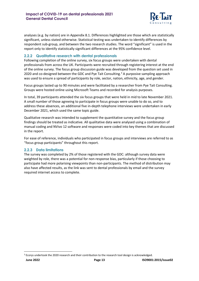

analyses (e.g. by nation) are in Appendix 8.1. Differences highlighted are those which are statistically significant, unless stated otherwise. Statistical testing was undertaken to identify differences by respondent sub-group, and between the two research studies. The word "significant" is used in the report only to identify statistically significant differences at the 95% confidence level.

### **2.2.2 Qualitative research with dental professionals**

Following completion of the online survey, six focus groups were undertaken with dental professionals from across the UK. Participants were recruited through registering interest at the end of the online survey. The focus group discussion guide was developed from the question set used in 2020 and co-designed between the GDC and Pye Tait Consulting.<sup>[3](#page-12-0)</sup> A purposive sampling approach was used to ensure a spread of participants by role, sector, nation, ethnicity, age, and gender.

Focus groups lasted up to 90 minutes and were facilitated by a researcher from Pye Tait Consulting. Groups were hosted online using Microsoft Teams and recorded for analysis purposes.

In total, 39 participants attended the six focus groups that were held in mid to late November 2021. A small number of those agreeing to participate in focus groups were unable to do so, and to address these absences, an additional five in-depth telephone interviews were undertaken in early December 2021, which used the same topic guide.

Qualitative research was intended to supplement the quantitative survey and the focus group findings should be treated as indicative. All qualitative data were analysed using a combination of manual coding and NVivo 12 software and responses were coded into key themes that are discussed in the report.

For ease of reference, individuals who participated in focus groups and interviews are referred to as "focus group participants" throughout this report.

#### **2.2.3 Data limitations**

The survey was completed by 2% of those registered with the GDC: although survey data were weighted by role, there was a potential for non-response bias, particularly if those choosing to participate had more polarising viewpoints than non-participants. The method of distribution may also have affected results, as the link was sent to dental professionals by email and the survey required internet access to complete.

<span id="page-12-0"></span><sup>&</sup>lt;sup>3</sup> Ecorys undertook the 2020 research and their contribution to the research tool design is acknowledged.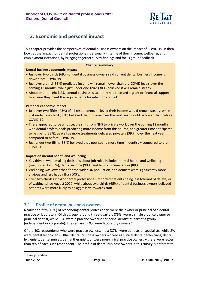

# <span id="page-13-0"></span>**3. Economic and personal impact**

This chapter provides the perspectives of dental business owners on the impact of COVID-19. It then looks at the impact for dental professionals personally in terms of their income, wellbeing, and employment intentions, by bringing together survey findings and focus group feedback.

#### **Chapter summary**

#### **Dental business economic impact**

- Just over two thirds (69%) of dental business owners said current dental business income is down since COVID-19.
- Just over a third (35%) predicted income will remain lower than pre-COVID levels over the coming 12 months, while just under one-third (30%) believed it will remain steady.
- About one-in-eight (13%) dental businesses said they had received a grant or financial support to ensure they meet the requirements for infection control.

#### **Personal economic impact**

- Just over two-fifths (43%) of all respondents believed their income would remain steady, while just under one-third (30%) believed their income over the next year would be lower than before COVID-19.
- There appeared to be a noticeable shift from NHS to private work over the coming 12 months, with dental professionals predicting more income from this source, and greater time anticipated to be spent (38%), as well as more treatments delivered privately (39%), over the next year compared to before COVID-19.
- Just under two-fifths (38%) believed they now spend more time in dentistry compared to pre-COVID-19.

#### **Impact on mental health and wellbeing**

- Key drivers when making decisions about job roles included mental health and wellbeing (mentioned by 95%), dental income (90%) and family circumstances (88%).
- Wellbeing was lower than for the wider UK population, and dentists were significantly more anxious and less happy than DCPs.
- Over two-thirds (71%) of dental professionals reported patients being less tolerant of delays, or of waiting, since August 2020, while about two-thirds (65%) of dental business owners believed patients were more likely to be aggressive towards staff.

## <span id="page-13-1"></span>**3.1 Profile of dental business owners**

Nearly one-fifth (19%) of responding dental professionals were the owner or principal of a dental practice or laboratory. Of this group, around three-quarters (76%) were a single practice owner or principal dentist, while 15% were a practice owner or principal dentist as part of a group (independent or corporate). The remaining 9% were laboratory owners. [4](#page-13-2)

Of the 402 respondents who were practice owners, most (87%) were dentists or specialists, while 8% were dental technicians. Other dental business owners worked as clinical dental technicians, dental hygienists, dental nurses, dental therapists, or were non-clinical practice owners – there were fewer than ten of each such respondent. The profile of dental business owners in this survey is different to

<span id="page-13-2"></span><sup>4</sup> Unweighted data.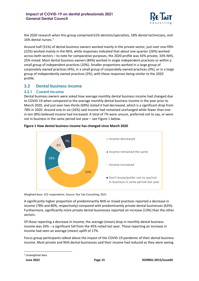

the 2020 research when this group comprised 61% dentists/specialists, 18% dental technicians, and 16% dental nurses. [5](#page-14-2)

Around half (51%) of dental business owners worked mainly in the private sector, just over one-fifth (22%) worked mainly in the NHS, while responses indicated that about one-quarter (26%) worked across both sectors – to note for comparative purposes, the 2020 profile was 43% private, 33% NHS, 25% mixed. Most dental business owners (84%) worked in single independent practices or within a small group of independent practices (10%). Smaller proportions worked in a large group of corporately owned practices (4%), in a small group of corporately owned practices (3%), or in a large group of independently owned practices (2%), with these responses being similar to the 2020 profile.

## <span id="page-14-0"></span>**3.2 Dental business income**

#### **3.2.1 Current income**

Dental business owners were asked how average monthly dental business income had changed due to COVID-19 when compared to the average monthly dental business income in the year prior to March 2020, and just over two-thirds (69%) stated it had decreased, which is a significant drop from 78% in 2020. Around one-in-six (16%) said income had remained unchanged while fewer than onein-ten (8%) believed income had increased. A total of 7% were unsure, preferred not to say, or were not in business in the same period last year – see Figure 1 below.



#### <span id="page-14-1"></span>**Figure 1 How dental business income has changed since March 2020**

Weighted base: 322 respondents. Source: Pye Tait Consulting, 2021

A significantly higher proportion of predominantly NHS or mixed practices reported a decrease in income (78% and 80%, respectively) compared with predominantly private dental businesses (63%). Furthermore, significantly more private dental businesses reported an increase (13%) than the other sectors.

Of those reporting a decrease in income, the average (mean) drop in monthly dental business income was 26% – a significant fall from the 45% noted last year. Those reporting an increase in income had seen an average (mean) uplift of 17%.

Focus group participants talked about the impact of the COVID-19 pandemic of their dental business income. Most private and NHS dental businesses said their income had reduced as they were seeing

<span id="page-14-2"></span><sup>5</sup> Unweighted data.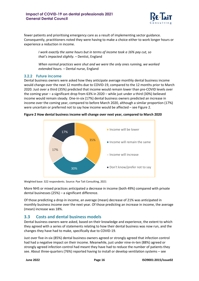

fewer patients and prioritising emergency care as a result of implementing sector guidance. Consequently, practitioners noted they were having to make a choice either to work longer hours or experience a reduction in income.

*I work exactly the same hours but in terms of income took a 16% pay cut, so that's impacted slightly.* – Dentist, England

*When normal practices were shut and we were the only ones running, we worked extended hours.* – Dental nurse, England

#### **3.2.2 Future income**

Dental business owners were asked how they anticipate average monthly dental business income would change over the next 12 months due to COVID-19, compared to the 12 months prior to March 2020. Just over a third (35%) predicted that income would remain lower than pre-COVID levels over the coming year – a significant drop from 63% in 2020 – while just under a third (30%) believed income would remain steady. One-in-six (17%) dental business owners predicted an increase in income over the coming year, compared to before March 2020, although a similar proportion (17%) were uncertain or preferred not to say how income would be affected – see Figure 2.



<span id="page-15-1"></span>**Figure 2 How dental business income will change over next year, compared to March 2020**

Weighted base: 322 respondents. Source: Pye Tait Consulting, 2021

More NHS or mixed practices anticipated a decrease in income (both 49%) compared with private dental businesses (25%) – a significant difference.

Of those predicting a drop in income, an average (mean) decrease of 21% was anticipated in monthly business income over the next year. Of those predicting an increase in income, the average (mean) increase was 18%.

#### <span id="page-15-0"></span>**3.3 Costs and dental business models**

Dental business owners were asked, based on their knowledge and experience, the extent to which they agreed with a series of statements relating to how their dental business was now run, and the changes they have had to make, specifically due to COVID-19.

Just over five-in-six (85%) dental business owners agreed or strongly agreed that infection control had had a negative impact on their income. Meanwhile, just under nine-in-ten (88%) agreed or strongly agreed infection control had meant they have had to reduce the number of patients they see. About three-quarters (76%) reported having to install or develop ventilation systems – see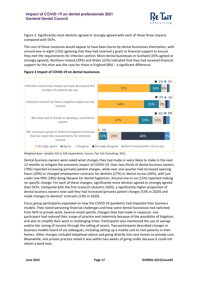

Figure 3. Significantly more dentists agreed or strongly agreed with each of these three impacts compared with DCPs.

The cost of these measures would appear to have been borne by dental businesses themselves, with around one-in-eight (13%) agreeing that they had received a grant or financial support to ensure they met the requirements for infection control. More dental businesses in Scotland (35% agreed or strongly agreed), Northern Ireland (29%) and Wales (22%) indicated that they had received financial support for this than was the case for those in England (8%) – a significant difference.



#### <span id="page-16-0"></span>**Figure 3 Impact of COVID-19 on dental businesses**

Weighted base: variable 316 to 318 respondents. Source: Pye Tait Consulting, 2021.

Dental business owners were asked what changes they had made or were likely to make in the next 12 months to mitigate the economic impact of COVID-19. Over two-thirds of dental business owners (70%) reported increasing (private) patient charges, while over one-quarter had increased opening hours (29%) or changed employment contracts for dentists (27%) or dental nurses (26%), with just under one-fifth (18%) doing likewise for dental hygienists. Around one-in-six (15%) reported making no specific change. For each of these changes, significantly more dentists agreed or strongly agreed than DCPs. Compared with the first research (Autumn 2020), a significantly higher proportion of dental business owners now said they had increased (private) patient charges (53% in 2020) and made changes to dentists' contracts (19% in 2020).

Focus group participants expanded on how the COVID-19 pandemic had impacted their business models. They noted persisting financial challenges and how some dental businesses had switched from NHS to private work. Several noted specific changes they had made in response: one participant had reduced their scope of practice and indemnity because of the possibility of litigation, and also to simplify their work in challenging times. Participants also mentioned the use of savings and/or the raising of income through the selling of assets. Two participants described changes in business models heard of via colleagues, including setting up a mobile unit to visit patients in their homes. Other changes included telephone advice and going directly into care homes to provide care. Meanwhile, one private practice noted it was within two weeks of going under because it could not obtain a bank loan.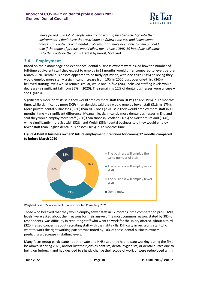

*I have picked up a lot of people who are on waiting lists because I go into their environment. I don't have that restriction on fallow time etc. and I have come across many patients with dental problems that I have been able to help or could help if the scope of practice would allow me. I think COVID-19 hopefully will allow us to think outside the box. –* Dental hygienist, Scotland

## <span id="page-17-0"></span>**3.4 Employment**

Based on their knowledge and experience, dental business owners were asked how the number of full-time equivalent staff they expect to employ in 12 months would differ compared to levels before March 2020. Dental businesses appeared to be fairly optimistic, with one-third (33%) believing they would employ more staff – a significant increase from 10% in 2020. Just over one-third (36%) believed staffing levels would remain similar, while one-in-five (20%) believed staffing levels would decrease (a significant fall from 35% in 2020). The remaining 12% of dental businesses were unsure – see Figure 4.

Significantly more dentists said they would employ more staff than DCPs (37% vs 19%) in 12 months' time, while significantly more DCPs than dentists said they would employ fewer staff (31% vs 17%). More private dental businesses (38%) than NHS ones (23%) said they would employ more staff in 12 months' time – a significant difference. Meanwhile, significantly more dental businesses in England said they would employ more staff (36%) than those in Scotland (16%) or Northern Ireland (14%), while significantly more Scottish (32%) and Welsh (33%) dental business said they would employ fewer staff than English dental businesses (18%) in 12 months' time.



#### <span id="page-17-1"></span>**Figure 4 Dental business owners' future employment intentions for coming 12 months compared to before March 2020**

Weighted base: 322 respondents. Source: Pye Tait Consulting, 2021.

Those who believed that they would employ fewer staff in 12 months' time compared to pre-COVID levels, were asked about their reasons for their answer. The most common reason, stated by 38% of respondents, was difficulty in recruiting staff who want to work for the salary offered. About a third (32%) raised concerns about recruiting staff with the right skills. Difficulty in recruiting staff who want to work the right working pattern was noted by 10% of those dental business owners predicting a decrease in staffing levels.

Many focus group participants (both private and NHS) said they had to stop working during the first lockdown in spring 2020, and/or lost their jobs as dentists, dental hygienists, or dental nurses due to being on furlough, and had decided to slightly change their scope of work or were redeployed within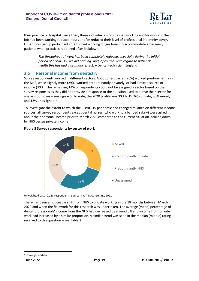

their practice or hospital. Since then, these individuals who stopped working and/or who lost their job had been working reduced hours and/or reduced their level of professional indemnity cover. Other focus group participants mentioned working longer hours to accommodate emergency patients when practices reopened after lockdown.

*The throughput of work has been completely reduced, especially during the initial period of COVID-19, we did nothing. And, of course, with regard to patients' health this has had a dramatic effect.* – Dental technician, England

## <span id="page-18-0"></span>**3.5 Personal income from dentistry**

Survey respondents worked in different sectors. About one-quarter (26%) worked predominantly in the NHS, while slightly more (29%) worked predominantly privately, or had a mixed source of income (30%). The remaining 14% of respondents could not be assigned a sector based on their survey responses as they did not provide a response to the question used to derive their sector for analysis purposes – see Figure 5. To note, the 2020 profile was 30% NHS, 26% private, 30% mixed, and 13% unassigned.<sup>[6](#page-18-2)</sup>

To investigate the extent to which the COVID-19 pandemic had changed reliance on different income sources, all survey respondents except dental nurses (who work to a banded salary) were asked about their personal income prior to March 2020 compared to the current situation, broken down by NHS versus private income.



#### <span id="page-18-1"></span>**Figure 5 Survey respondents by sector of work**

Unweighted base: 2,168 respondents. Source: Pye Tait Consulting, 2021.

There has been a noticeable shift from NHS to private working in the 18 months between March 2020 and when the fieldwork for this research was undertaken. The average (mean) percentage of dental professionals' income from the NHS had decreased by around 5% and income from private work had increased by a similar proportion. A similar trend was seen in the median (middle) rating received to this question – see Table 2.

<span id="page-18-2"></span><sup>6</sup> Unweighted data.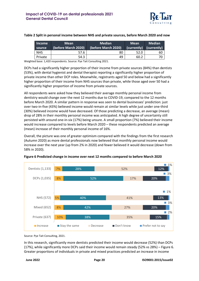

| <b>Income</b> | <b>Mean</b>         | <b>Median</b>       | <b>Mean</b> | <b>Median</b> |
|---------------|---------------------|---------------------|-------------|---------------|
| source        | (before March 2020) | (before March 2020) | (currently) | (currently)   |
| <b>NHS</b>    | 57.6                | 80                  | 52.0        | 60            |
| Private       | 54.3                | 49                  | 60.2        | 70            |

#### <span id="page-19-1"></span>**Table 2 Split in personal income between NHS and private sources, before March 2020 and now**

Weighted base: 1,420 respondents. Source: Pye Tait Consulting 2021.

DCPs had a significantly higher proportion of their income from private sources (84%) than dentists (53%), with dental hygienist and dental therapist reporting a significantly higher proportion of private income than other DCP roles. Meanwhile, registrants aged 50 and below had a significantly higher proportion of their income from NHS sources than private, while those aged over 50 had a significantly higher proportion of income from private sources.

All respondents were asked how they believed their average monthly personal income from dentistry would change over the next 12 months due to COVID-19, compared to the 12 months before March 2020. A similar pattern in response was seen to dental businesses' prediction: just over two-in-five (43%) believed income would remain at similar levels while just under one-third (30%) believed income would have decreased. Of those predicting a decrease, an average (mean) drop of 28% in their monthly personal income was anticipated. A high degree of uncertainty still persisted with around one-in-six (17%) being unsure. A small proportion (7%) believed their income would increase compared to levels before March 2020 – these respondents predicted an average (mean) increase of their monthly personal income of 16%.

Overall, the picture was one of greater optimism compared with the findings from the first research (Autumn 2020) as more dental professionals now believed that monthly personal income would increase over the next year (up from 2% in 2020) and fewer believed it would decrease (down from 58% in 2020).



#### <span id="page-19-0"></span>**Figure 6 Predicted change in income over next 12 months compared to before March 2020**

Source: Pye Tait Consulting, 2021.

In this research, significantly more dentists predicted their income would decrease (52%) than DCPs (17%), while significantly more DCPs said their income would remain steady (52% vs 28%) – Figure 6. Greater proportions of individuals in private and mixed practices predicted an increase in income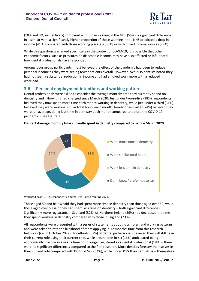

(10% and 8%, respectively) compared with those working in the NHS (5%) – a significant difference. In a similar vein, a significantly higher proportion of those working in the NHS predicted a drop in income (41%) compared with those working privately (35%) or with mixed income sources (27%).

While this question was asked specifically in the context of COVID-19, it is possible that other economic factors, such as pressures on disposable income, may have also affected or influenced how dental professionals have responded.

Among focus group participants, most believed the effect of the pandemic had been to reduce personal income as they were seeing fewer patients overall. However, two NHS dentists noted they had not seen a substantial reduction in income and had enjoyed work more with a reduced workload.

## <span id="page-20-0"></span>**3.6 Personal employment intentions and working patterns**

Dental professionals were asked to consider the average monthly time they currently spend on dentistry and if/how this had changed since March 2020. Just under two-in-five (38%) respondents believed they now spend more time each month working in dentistry, while just under a third (31%) believed they were working similar total hours each month. Nearly one-quarter (24%) believed they were, on average, doing less time in dentistry each month compared to before the COVID-19 pandemic – see Figure 7.



#### <span id="page-20-1"></span>**Figure 7 Average monthly time currently spent in dentistry compared to before March 2020**

Weighted base: 2,165 respondents. Source: Pye Tait Consulting 2021.

Those aged 50 and below said they had spent more time in dentistry than those aged over 50, while those aged over 50 said they had spent less time on dentistry – both significant differences. Significantly more registrants in Scotland (32%) or Northern Ireland (39%) had decreased the time they spend working in dentistry compared with those in England (23%).

All respondents were presented with a series of statements about jobs, roles, and working patterns, and were asked to rate the likelihood of them applying in 12 months' time from this research fieldwork (i.e. in October 2022). Two-thirds (67%) of dental professionals believed they will still be in their current role using their current title, while around one-in-six (16%) anticipated being economically inactive in a year's time or no longer registered as a dental professional (18%) – there were no significant differences compared to the first research. More dentists foresaw themselves in their current role compared with DCPs (70% vs 64%), while more DCPs than dentists saw themselves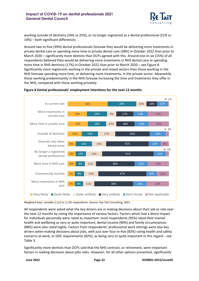

working outside of dentistry (34% vs 25%), or no longer registered as a dental professional (21% vs 14%) – both significant differences.

Around two-in-five (39%) dental professionals foresaw they would be delivering more treatments in private dental care or spending more time in private dental care (38%) in October 2022 than prior to March 2020 – significantly more dentists than DCPs agreed with this. Around one-in-six (15%) of all respondents believed they would be delivering more treatments in NHS dental care or spending more time in NHS dentistry (17%) in October 2022 than prior to March 2020 – see Figure 8. Significantly more registrants working in the private and mixed sectors than those working in the NHS foresaw spending more time, or delivering more treatments, in the private sector. Meanwhile those working predominantly in the NHS foresaw increasing the time and treatments they offer in the NHS, compared with those working privately.



#### <span id="page-21-0"></span>**Figure 8 Dental professionals' employment intentions for the next 12 months**

Weighted base: variable 2,113 to 2,135 respondents. Source: Pye Tait Consulting, 2021.

All respondents were asked what the key drivers are in making decisions about their job or role over the next 12 months by rating the importance of various factors. Factors which had a direct impact for individuals personally were rated as important: most respondents (95%) rated their mental health and wellbeing as very or quite important; dental income (90%) and family circumstances (88%) were also rated highly. Factors from respondents' professional work settings were also key drivers when making decisions about jobs, with just over four-in-five (83%) rating health and safety concerns at work, or GDC requirements (82%), as being very or quite important in this regard – see Table 3.

Significantly more dentists than DCPs said that the NHS contract, or retirement, were important factors in making decisions about jobs roles. However, for all other options presented, significantly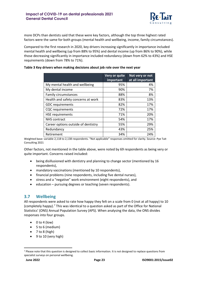

more DCPs than dentists said that these were key factors, although the top three highest rated factors were the same for both groups (mental health and wellbeing, income, family circumstances).

Compared to the first research in 2020, key drivers increasing significantly in importance included mental health and wellbeing (up from 88% to 95%) and dental income (up from 86% to 90%), while those decreasing significantly in importance included redundancy (down from 62% to 43%) and HSE requirements (down from 78% to 71%).

|                                     | Very or quite<br>important | Not very or not<br>at all important |
|-------------------------------------|----------------------------|-------------------------------------|
| My mental health and wellbeing      | 95%                        | 4%                                  |
| My dental income                    | 90%                        | 7%                                  |
| Family circumstances                | 88%                        | 8%                                  |
| Health and safety concerns at work  | 83%                        | 13%                                 |
| <b>GDC</b> requirements             | 82%                        | 17%                                 |
| <b>CQC</b> requirements             | 72%                        | 17%                                 |
| <b>HSE requirements</b>             | 71%                        | 20%                                 |
| <b>NHS</b> contract                 | 54%                        | 17%                                 |
| Career options outside of dentistry | 55%                        | 29%                                 |
| Redundancy                          | 43%                        | 25%                                 |
| Retirement                          | 34%                        | 24%                                 |

#### <span id="page-22-1"></span>**Table 3 Key drivers when making decisions about job role over the next year**

Weighted base: variable 2,118 to 2,138 respondents. "Not applicable" responses omitted for clarity. Source: Pye Tait Consulting 2021

Other factors, not mentioned in the table above, were noted by 69 respondents as being very or quite important. Concerns raised included:

- being disillusioned with dentistry and planning to change sector (mentioned by 16 respondents),
- mandatory vaccinations (mentioned by 10 respondents),
- financial problems (nine respondents, including five dental nurses),
- stress and a "negative" work environment (eight respondents), and
- education pursuing degrees or teaching (seven respondents).

## <span id="page-22-0"></span>**3.7 Wellbeing**

All respondents were asked to rate how happy they felt on a scale from 0 (not at all happy) to 10 (completely happy).[7](#page-22-2) This was identical to a question asked as part of the Office for National Statistics' (ONS) Annual Population Survey (APS). When analysing the data, the ONS divides responses into four groups.

- $\bullet$  0 to 4 (low)
- 5 to 6 (medium)
- $\bullet$  7 to 8 (high)
- 9 to 10 (very high)

<span id="page-22-2"></span><sup>7</sup> Please note that this question is designed to collect basic information. It is not designed to replace questions from specialist surveys on personal wellbeing.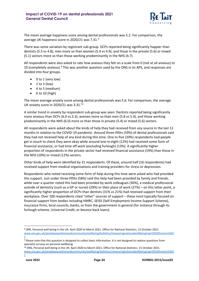

The mean average happiness score among dental professionals was 5.2. For comparison, the average UK happiness score in 2020/21 was 7.31. [8](#page-23-0)

There was some variation by registrant sub-group. DCPs reported being significantly happier than dentists (5.5 vs 4.8), men more so than women (5.4 vs 4.9), and those in the private (5.6) or mixed (5.1) sectors more so than those working predominantly in the NHS (4.7).

All respondents were also asked to rate how anxious they felt on a scale from 0 (not at all anxious) to 10 (completely anxious). $9$  This was another question used by the ONS in its APS, and responses are divided into four groups.

- 0 to 1 (very low)
- $\bullet$  2 to 3 (low)
- 4 to 5 (medium)
- $\bullet$  6 to 10 (high)

The mean average anxiety score among dental professionals was 5.6. For comparison, the average UK anxiety score in 2020/21 was 3.31. [10](#page-23-2)

A similar trend in anxiety by respondent sub-group was seen. Dentists reported being significantly more anxious than DCPs (6.0 vs 5.3), women more so than men (5.8 vs 5.4), and those working predominantly in the NHS (6.0) more so than those in private (5.4) or mixed (5.6) sectors.

All respondents were asked about the kinds of help they had received from any source in the last 12 months in relation to the COVID-19 pandemic. Around three-fifths (59%) of dental professionals said they had not received help of any kind during this time. One-in-five (20%) respondents had people get in touch to check they were okay while around one-in-eight (12%) had received some form of financial assistance, or had time off work (excluding furlough) (13%). A significantly higher proportion of respondents in the private sector had received financial assistance (19%) than those in the NHS (10%) or mixed (12%) sectors.

Other kinds of help were identified by 31 respondents. Of these, around half (16 respondents) had received support from medical organisations and training providers for stress or depression.

Respondents who noted receiving some form of help during this time were asked who had provided this support. Just under three-fifths (58%) said this help had been provided by family and friends, while over a quarter noted this had been provided by work colleagues (30%), a medical professional outside of dentistry (such as a GP or nurse) (29%) or their place of work (27%) – on this latter point, a significantly higher proportion of DCPs than dentists (31% vs 21%) had received support from their workplace. Over 100 respondents cited "other" sources of support – these most typically focused on financial support from bodies including HMRC, SEISS (Self-Employment Income Support Scheme), insurance firms, local councils, banks, or from the government in general (for instance through its furlough scheme, Universal Credit, or bounce back loans).

<span id="page-23-2"></span><sup>10</sup> ONS, Personal well-being in the UK: April 2020 to March 2021. Office for National Statistics. 15 October 2021.

<span id="page-23-0"></span><sup>8</sup> ONS, Personal well-being in the UK: April 2020 to March 2021. Office for National Statistics. 15 October 2021. [www.ons.gov.uk/peoplepopulationandcommunity/wellbeing/bulletins/measuringnationalwellbeing/april2020tomarch202](http://www.ons.gov.uk/peoplepopulationandcommunity/wellbeing/bulletins/measuringnationalwellbeing/april2020tomarch2021) [1](http://www.ons.gov.uk/peoplepopulationandcommunity/wellbeing/bulletins/measuringnationalwellbeing/april2020tomarch2021)

<span id="page-23-1"></span><sup>&</sup>lt;sup>9</sup> Please note that this question is designed to collect basic information. It is not designed to replace questions from specialist surveys on personal wellbeing.

[www.ons.gov.uk/peoplepopulationandcommunity/wellbeing/bulletins/measuringnationalwellbeing/april2020tomarch202](http://www.ons.gov.uk/peoplepopulationandcommunity/wellbeing/bulletins/measuringnationalwellbeing/april2020tomarch2021) [1](http://www.ons.gov.uk/peoplepopulationandcommunity/wellbeing/bulletins/measuringnationalwellbeing/april2020tomarch2021)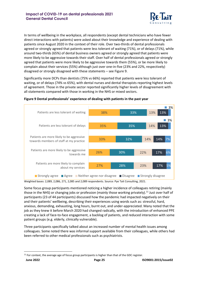

In terms of wellbeing in the workplace, all respondents (except dental technicians who have fewer direct interactions with patients) were asked about their knowledge and experience of dealing with patients since August 2020 in the context of their role. Over two-thirds of dental professionals agreed or strongly agreed that patients were less tolerant of waiting (71%), or of delays (71%), while around two-thirds (65%) of dental business owners agreed or strongly agreed that patients were more likely to be aggressive towards their staff. Over half of dental professionals agreed or strongly agreed that patients were more likely to be aggressive towards them (55%), or be more likely to complain about their services (55%) although just over one-in-five (23% and 22%, respectively) disagreed or strongly disagreed with these statements – see Figure 9.

Significantly more DCPs than dentists (75% vs 66%) reported that patients were less tolerant of waiting, or of delays (74% vs 65%), with dental nurses and dental therapists reporting highest levels of agreement. Those in the private sector reported significantly higher levels of disagreement with all statements compared with those in working in the NHS or mixed sectors.



<span id="page-24-0"></span>**Figure 9 Dental professionals' experience of dealing with patients in the past year**

Weighted bases: 2,089, 2,086, 271, 2,085 and 2,089 respondents. Source: Pye Tait Consulting, 2021.

Some focus group participants mentioned noticing a higher incidence of colleagues retiring (mainly those in the NHS) or changing jobs or profession (mainly those working privately).<sup>[11](#page-24-1)</sup> Just over half of participants (23 of 44 participants) discussed how the pandemic had impacted negatively on their and their patients' wellbeing, describing their experiences using words such as: stressful, hard, anxious, demanding, exhausting, long hours, burnt out, and under-appreciated. Many noted that the job as they knew it before March 2020 had changed radically, with the introduction of enhanced PPE creating a lack of face-to-face engagement, a backlog of patients, and reduced interaction with some patient groups (e.g. elderly, clinically vulnerable).

Three participants specifically talked about an increased number of mental health issues among colleagues. Some noted there was informal support available from their colleagues, while others had been referred to other medical professionals such as psychiatrists.

<span id="page-24-1"></span><sup>&</sup>lt;sup>11</sup> For context, the average age of focus group participants is higher than that of the GDC register.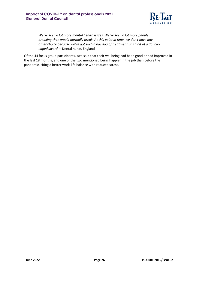

*We've seen a lot more mental health issues. We've seen a lot more people breaking than would normally break. At this point in time, we don't have any other choice because we've got such a backlog of treatment. It's a bit of a doubleedged sword.* – Dental nurse, England

Of the 44 focus group participants, two said that their wellbeing had been good or had improved in the last 18 months, and one of the two mentioned being happier in the job than before the pandemic, citing a better work-life balance with reduced stress.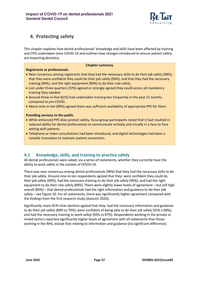

# <span id="page-26-0"></span>**4. Protecting safety**

This chapter explores how dental professionals' knowledge and skills have been affected by training and CPD undertaken since COVID-19 and outlines how changes introduced to ensure patient safety are impacting dentistry.

#### **Chapter summary**

#### **Registrants as professionals**

- Near consensus among registrants that they had the necessary skills to do their job safely (98%), that they were confident they could do their job safely (90%), and that they had the necessary training (90%), and the right equipment (89%) to do their role safely.
- Just under three-quarters (72%) agreed or strongly agreed they could access all mandatory training they needed.
- Around three-in-five (61%) had undertaken training less frequently in the past 12 months compared to pre-COVID.
- About nine-in-ten (89%) agreed there was sufficient availability of appropriate PPE for them.

#### **Providing services to the public**

- While enhanced PPE does protect safety, focus group participants noted that it had resulted in reduced ability for dental professionals to communicate verbally and visually in a face-to-face setting with patients.
- Telephone or video consultations had been introduced, and digital technologies had been a notable innovation to maintain patient connection.

## <span id="page-26-1"></span>**4.1 Knowledge, skills, and training to practice safely**

All dental professionals were asked, via a series of statements, whether they currently have the ability to work safely in the context of COVID-19.

There was near consensus among dental professionals (98%) that they had the necessary skills to do their job safely. Around nine-in-ten respondents agreed that they: were confident they could do their job safely (90%), had the necessary training to do their job safely (90%), and had the right equipment to do their role safely (89%). There were slightly lower levels of agreement – but still high overall (85%) – that dental professionals had the right information and guidance to do their job safely – see Figure 10. For all statements, there was significantly higher agreement compared with the findings from the first research study (Autumn 2020).

Significantly more DCPs than dentists agreed that they: had the necessary information and guidance to do their job safely (89% vs 79%); were confident of being able to do their job safely (92% v 88%); and had the necessary training to work safely (92% vs 87%). Respondents working in the private or mixed sectors reported significantly higher levels of agreement with all statements than those working in the NHS, except that relating to information and guidance (no significant difference).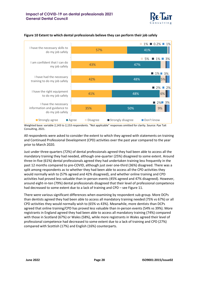



#### <span id="page-27-0"></span>**Figure 10 Extent to which dental professionals believe they can perform their job safely**

Weighted base: variable 2,143 to 2,153 respondents. "Not applicable" responses omitted for clarity. Source: Pye Tait Consulting, 2021.

All respondents were asked to consider the extent to which they agreed with statements on training and Continued Professional Development (CPD) activities over the past year compared to the year prior to March 2020.

Just under three-quarters (72%) of dental professionals agreed they had been able to access all the mandatory training they had needed, although one-quarter (25%) disagreed to some extent. Around three-in-five (61%) dental professionals agreed they had undertaken training less frequently in the past 12 months compared to pre-COVID, although just over one-third (36%) disagreed. There was a split among respondents as to whether they had been able to access all the CPD activities they would normally wish to (57% agreed and 42% disagreed), and whether online training and CPD activities had proved less valuable than in-person events (45% agreed and 47% disagreed). However, around eight-in-ten (79%) dental professionals disagreed that their level of professional competence had decreased to some extent due to a lack of training and CPD – see Figure 11.

There were various significant differences when examining by respondent sub-group. More DCPs than dentists agreed they had been able to access all mandatory training needed (75% vs 67%) or all CPD activities they would normally wish to (65% vs 43%). Meanwhile, more dentists than DCPs agreed that online training/CPD has proved less valuable than in-person events (54% vs 39%). More registrants in England agreed they had been able to access all mandatory training (74%) compared with those in Scotland (67%) or Wales (58%), while more registrants in Wales agreed their level of professional competence had decreased to some extent due to a lack of training and CPD (27%) compared with Scottish (17%) and English (16%) counterparts.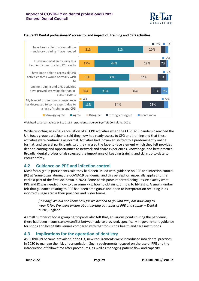



#### <span id="page-28-2"></span>**Figure 11 Dental professionals' access to, and impact of, training and CPD activities**

Weighted base: variable 2,146 to 2,153 respondents. Source: Pye Tait Consulting, 2021.

While reporting an initial cancellation of all CPD activities when the COVID-19 pandemic reached the UK, focus group participants said they now had ready access to CPD and training and that these activities were continuing as normal. Activities had, however, shifted to a predominantly online format, and several participants said they missed the face-to-face element which they felt provides deeper learning and opportunities to network and share experiences, knowledge, and best practice. Broadly, dental professionals stressed the importance of keeping training and skills up-to-date to ensure safety.

## <span id="page-28-0"></span>**4.2 Guidance on PPE and infection control**

Most focus group participants said they had been issued with guidance on PPE and infection control (IC) at '*some point'* during the COVID-19 pandemic, and this perception especially applied to the earliest part of the first lockdown in 2020. Some participants reported being unsure exactly what PPE and IC was needed, how to use some PPE, how to obtain it, or how to fit-test it. A small number felt that guidance relating to PPE had been ambiguous and open to interpretation resulting in its incorrect usage across their practices and wider teams.

*[Initially] We did not know how far we needed to go with PPE, nor how long to wear it for. We were unsure about sorting out types of PPE and supply.* – Dental nurse, England

A small number of focus group participants also felt that, at various points during the pandemic, there had been inconsistency/conflict between advice provided, specifically in government guidance for shops and hospitality venues compared with that for visiting health and care institutions.

## <span id="page-28-1"></span>**4.3 Implications for the operation of dentistry**

As COVID-19 became prevalent in the UK, new requirements were introduced into dental practices in 2020 to manage the risk of transmission. Such requirements focused on the use of PPE and the introduction of fallow time after procedures, as well as managing patient flow and capacity.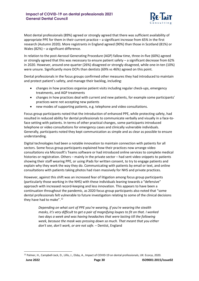

Most dental professionals (89%) agreed or strongly agreed that there was sufficient availability of appropriate PPE for them in their current practice – a significant increase from 65% in the first research (Autumn 2020). More registrants in England agreed (90%) than those in Scotland (81%) or Wales (82%) – a significant difference.

In relation to the post-Aerosol Generating Procedure (AGP) fallow time, three-in-five (60%) agreed or strongly agreed that this was necessary to ensure patient safety – a significant decrease from 62% in 2020. However, around one-quarter (26%) disagreed or strongly disagreed, while one-in-ten (10%) were unsure. Significantly more DCPs than dentists (69% vs 46%) agreed on this point.

Dental professionals in the focus groups confirmed other measures they had introduced to maintain and protect patient's safety, and manage their backlog, including:

- changes in how practices organise patient visits including regular check-ups, emergency treatments, and AGP treatments
- changes in how practices deal with current and new patients, for example some participants' practices were not accepting new patients
- new modes of supporting patients, e.g. telephone and video consultations.

Focus group participants noted that the introduction of enhanced PPE, while protecting safety, had resulted in reduced ability for dental professionals to communicate verbally and visually in a face-toface setting with patients. In terms of other practical changes, some participants introduced telephone or video consultations for emergency cases and clinically vulnerable individuals. Generally, participants noted they kept communication as simple and as clear as possible to ensure understanding.

Digital technologies had been a notable innovation to maintain connection with patients for all sectors. Some focus group participants explained how their practices now arrange video consultations via Microsoft's Teams software or had introduced online services to complete medical histories or registration. Others – mainly in the private sector – had sent video snippets to patients showing their staff wearing PPE, or using iPads for written consent, to try to engage patients and explain why they work the way they do. Communicating with patients by email or text, and online consultations with patients taking photos had risen massively for NHS and private practices.

However, against this shift was an increased fear of litigation among focus group participants (particularly those working in the NHS) with these individuals leaning towards a "defensive" approach with increased record-keeping and less innovation. This appears to have been a continuation throughout the pandemic, as 2020 focus group participants also noted that "some dental professionals felt vulnerable to future investigation relating to some of the clinical decisions they have had to make".<sup>[12](#page-29-0)</sup>

*Depending on what sort of PPE you're wearing, if you're wearing the stealth masks, it's very difficult to get a pair of magnifying loupes to fit on that. I worked two days a week and was having headaches that were lasting till the following week, because the mask was pressing down so much. That meant that you either don't see, don't work, or are not safe.* – Dentist, England

<span id="page-29-0"></span><sup>12</sup> Palmer, H., Campbell-Jack, D., Lillis, J., Elsby, A., Impact of COVID-19 on dental professionals, UK: Ecorys, 2020.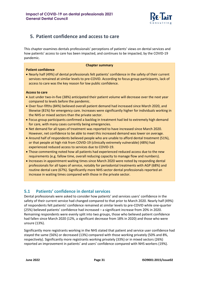

# <span id="page-30-0"></span>**5. Patient confidence and access to care**

This chapter examines dentals professionals' perceptions of patients' views on dental services and how patients' access to care has been impacted, and continues to be impacted, by the COVID-19 pandemic.

#### **Chapter summary**

#### **Patient confidence**

• Nearly half (49%) of dental professionals felt patients' confidence in the safety of their current services remained at similar levels to pre-COVID. According to focus group participants, lack of access to care was the key reason for low public confidence.

#### **Access to care**

- Just under two-in-five (38%) anticipated their patient volume will decrease over the next year compared to levels before the pandemic.
- Over four-fifths (84%) believed overall patient demand had increased since March 2020, and likewise (81%) for emergency care. Increases were significantly higher for individuals working in the NHS or mixed sectors than the private sector.
- Focus group participants confirmed a backlog in treatment had led to extremely high demand for care, with many cases currently being emergencies.
- Net demand for all types of treatment was reported to have increased since March 2020. However, net confidence to be able to meet this increased demand was lower on average.
- Around half of respondents believed people who are unable to afford dental treatment (51%), or that people at high risk from COVID-19 (clinically extremely vulnerable) (48%) had experienced reduced access to services due to COVID-19.
- Those commenting noted how all patients had experienced reduced access due to the new requirements (e.g. fallow time, overall reducing capacity to manage flow and numbers).
- Increases in appointment waiting times since March 2020 were noted by responding dental professionals for all types of service, notably for periodontal treatments with AGP (68%) and routine dental care (67%). Significantly more NHS sector dental professionals reported an increase in waiting times compared with those in the private sector.

## <span id="page-30-1"></span>**5.1 Patients' confidence in dental services**

Dental professionals were asked to consider how patients' and services users' confidence in the safety of their current service had changed compared to that prior to March 2020. Nearly half (49%) of respondents felt patients' confidence remained at similar levels to pre-COVID while one-quarter (25%) believed patients' confidence had increased – a significant increase from 20% in 2020. Remaining respondents were evenly split into two groups, those who believed patient confidence had fallen since March 2020 (12%, a significant decrease from 18% in 2020) and those who were unsure (13%).

Significantly more registrants working in the NHS stated that patient and service user confidence had stayed the same (56%) or decreased (13%) compared with those working privately (50% and 8%, respectively). Significantly more registrants working privately (33%) or in mixed sectors (26%) reported an improvement in patients' and users' confidence compared with NHS workers (19%).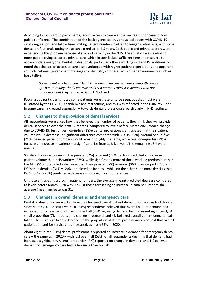

According to focus group participants, lack of access to care was the key reason for cases of low public confidence. The combination of the backlog created by various lockdowns with COVID-19 safety regulations and fallow time limiting patient numbers had led to longer waiting lists, with some dental professionals noting these can extend up to 2.5 years. Both public and private sectors were experiencing this problem because of a lack of capacity in the NHS. The situation was leading to more people trying to access private care, which in turn lacked sufficient time and resource to accommodate everyone. Dental professionals, particularly those working in the NHS, additionally noted that the lack of access to care also overlapped with higher patient expectations and apparent conflicts between government messages for dentistry compared with other environments (such as hospitality).

*Government will be saying, 'Dentistry is open. You can get your six-month checkup.' but, in reality, that's not true and then patients think it is dentists who are not doing what they're told.* – Dentist, Scotland

Focus group participants noted some patients were grateful to be seen, but that most were frustrated by the COVID-19 pandemic and restrictions, and this was reflected in their anxiety – and in some cases, increased aggression – towards dental professionals, particularly in NHS settings.

## <span id="page-31-0"></span>**5.2 Changes to the provision of dental services**

All respondents were asked how they believed the number of patients they think they will provide dental services to over the next 12 months, compared to levels before March 2020, would change due to COVID-19. Just under two-in-five (38%) dental professionals anticipated that their patient volume would decrease (a significant difference compared with 66% in 2020). Around one-in-five (21%) believed patient numbers would remain roughly the same, while over one-quarter (29%) foresaw an increase in patients – a significant rise from 11% last year. The remaining 13% were unsure.

Significantly more workers in the private (32%) or mixed (28%) sectors predicted an increase in patient volume than NHS workers (23%), while significantly more of those working predominantly in the NHS (51%) predicted a decrease than their private (37%) or mixed (36%) counterparts. More DCPs than dentists (34% vs 20%) predicted an increase, while on the other hand more dentists than DCPs (56% vs 26%) predicted a decrease – both significant differences.

Of those anticipating a drop in patient numbers, the average (mean) predicted decrease compared to levels before March 2020 was 30%. Of those foreseeing an increase in patient numbers, the average (mean) increase was 31%.

## <span id="page-31-1"></span>**5.3 Changes in overall demand and emergency care**

Dental professionals were asked how they believed overall patient demand for services had changed since March 2020. About five-in-six (84%) respondents believed that overall patient demand had increased to some extent with just under half (48%) agreeing demand had increased significantly. A small proportion (7%) reported no change in demand, and 4% believed overall patient demand had fallen. There is a significant difference in the proportion of dental professionals who said that overall patient demand for services has increased, up from 63% in 2020.

About eight-in-ten (81%) dental professionals reported an increase in demand for emergency dental care – the same as in 2020 – with just over half (53%) of all respondents deeming that demand had increased significantly. A small proportion (8%) reported no change in demand, and 1% believed demand for emergency care had fallen since March 2020.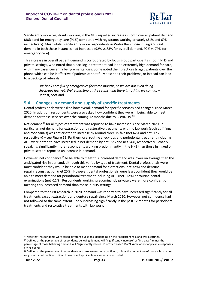

Significantly more registrants working in the NHS reported increases in both overall patient demand (88%) and for emergency care (91%) compared with registrants working privately (81% and 69%, respectively). Meanwhile, significantly more respondents in Wales than those in England said demand in both these instances had increased (92% vs 83% for overall demand, 92% vs 79% for emergency care).

This increase in overall patient demand is corroborated by focus group participants in both NHS and private settings, who noted that a backlog in treatment had led to extremely high demand for care, with many cases currently being emergencies. Some noted their practices triaged patients over the phone which can be ineffective if patients cannot fully describe their problems, or instead can lead to a backlog of referrals.

*Our books are full of emergencies for three months, so we are not even doing check-ups just yet. We're bursting at the seams, and there is nothing we can do.* – Dentist, Scotland

## <span id="page-32-0"></span>**5.4 Changes in demand and supply of specific treatments**

Dental professionals were asked how overall demand for specific services had changed since March 2020. In addition, respondents were also asked how confident they were in being able to meet demand for these services over the coming 12 months due to COVID-19.<sup>[13](#page-32-1)</sup>

Net demand<sup>[14](#page-32-2)</sup> for all types of treatment was reported to have increased since March 2020. In particular, net demand for extractions and restorative treatments with no lab work (such as fillings and root canals) was anticipated to increase by around three-in-five (net 62% and net 60%, respectively) – see Figure 12. Furthermore, routine check-ups and periodontal treatment including AGP were noted to have increased in net demand by net 55% and net 54%, respectively. Broadly speaking, significantly more respondents working predominantly in the NHS than those in mixed or private sectors reported an increase in demand.

However, net confidence<sup>[15](#page-32-3)</sup> to be able to meet this increased demand was lower on average than the anticipated rise in demand, although this varied by type of treatment. Dental professionals were most confident they would be able to meet demand for extractions (net 32%) and denture repair/reconstruction (net 25%). However, dental professionals were least confident they would be able to meet demand for periodontal treatment including AGP (net -12%) or routine dental examinations (net -11%). Respondents working predominantly privately were more confident of meeting this increased demand than those in NHS settings.

Compared to the first research in 2020, demand was reported to have increased significantly for all treatments except extractions and denture repair since March 2020. However, net confidence had not followed to the same extent – only increasing significantly in the past 12 months for periodontal treatments and restorative treatments with lab work.

<span id="page-32-1"></span><sup>&</sup>lt;sup>13</sup> Note that, respondents were asked different questions, depending on their registrant role and work settings.

<span id="page-32-2"></span><sup>&</sup>lt;sup>14</sup> Defined as the percentage of respondents believing demand will "significantly increase" or "increase", minus the percentage of those believing demand will "significantly decrease" or "decrease". Don't know or not applicable responses are excluded.

<span id="page-32-3"></span><sup>&</sup>lt;sup>15</sup> Defined as the percentage of respondents who are very or quite confident, minus the percentage of those who are not very or not at all confident. Don't know or not applicable responses are excluded.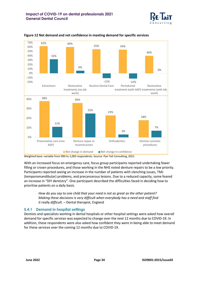



#### <span id="page-33-0"></span>**Figure 12 Net demand and net confidence in meeting demand for specific services**

With an increased focus on emergency care, focus group participants reported undertaking fewer filling or crown procedures, and those working in the NHS noted denture repairs to be a low priority. Participants reported seeing an increase in the number of patients with clenching issues, TMJ (temporomandibular) problems, and precancerous lesions. Due to a reduced capacity, some feared an increase in "DIY dentistry". One participant described the difficulties faced in deciding how to prioritise patients on a daily basis.

*How do you say to one child that your need is not as great as the other patient? Making these decisions is very difficult when everybody has a need and staff find it really difficult.* – Dental therapist, England

#### **5.4.1 Demand in hospital settings**

Dentists and specialists working in dental hospitals or other hospital settings were asked how overall demand for specific services was expected to change over the next 12 months due to COVID-19. In addition, these respondents were also asked how confident they were in being able to meet demand for these services over the coming 12 months due to COVID-19.

Weighted base: variable from 990 to 1,003 respondents. Source: Pye Tait Consulting, 2021.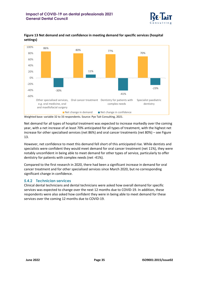



<span id="page-34-0"></span>**Figure 13 Net demand and net confidence in meeting demand for specific services (hospital settings)**

Weighted base: variable 32 to 33 respondents. Source: Pye Tait Consulting, 2021.

Net demand for all types of hospital treatment was expected to increase markedly over the coming year, with a net increase of at least 70% anticipated for all types of treatment, with the highest net increase for other specialised services (net 86%) and oral cancer treatments (net 80%) – see Figure 13.

However, net confidence to meet this demand fell short of this anticipated rise. While dentists and specialists were confident they would meet demand for oral cancer treatment (net 11%), they were notably unconfident in being able to meet demand for other types of service, particularly to offer dentistry for patients with complex needs (net -41%).

Compared to the first research in 2020, there had been a significant increase in demand for oral cancer treatment and for other specialised services since March 2020, but no corresponding significant change in confidence.

#### **5.4.2 Technician services**

Clinical dental technicians and dental technicians were asked how overall demand for specific services was expected to change over the next 12 months due to COVID-19. In addition, these respondents were also asked how confident they were in being able to meet demand for these services over the coming 12 months due to COVID-19.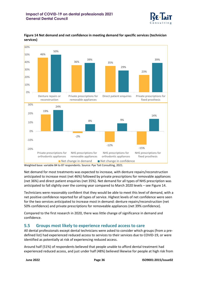



#### <span id="page-35-1"></span>**Figure 14 Net demand and net confidence in meeting demand for specific services (technician services)**

Net demand for most treatments was expected to increase, with denture repairs/reconstruction anticipated to increase most (net 46%) followed by private prescriptions for removable appliances (net 36%) and direct patient enquiries (net 35%). Net demand for all types of NHS prescription was anticipated to fall slightly over the coming year compared to March 2020 levels – see Figure 14.

Technicians were reasonably confident that they would be able to meet this level of demand, with a net positive confidence reported for all types of service. Highest levels of net confidence were seen for the two services anticipated to increase most in demand: denture repairs/reconstruction (net 50% confidence) and private prescriptions for removeable appliances (net 39% confidence).

Compared to the first research in 2020, there was little change of significance in demand and confidence.

## <span id="page-35-0"></span>**5.5 Groups most likely to experience reduced access to care**

All dental professionals except dental technicians were asked to consider which groups (from a predefined list) had experienced reduced access to services to their services due to COVID-19, or were identified as potentially at risk of experiencing reduced access.

Around half (51%) of respondents believed that people unable to afford dental treatment had experienced reduced access, and just under half (48%) believed likewise for people at high risk from

Weighted base: variable 84 to 87 respondents. Source: Pye Tait Consulting, 2021.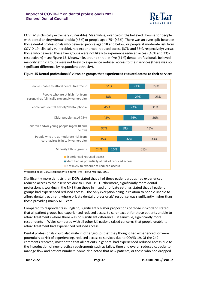

COVID-19 (clinically extremely vulnerable). Meanwhile, over two-fifths believed likewise for people with dental anxiety/dental phobia (45%) or people aged 75+ (43%). There was an even split between those dental professionals who believed people aged 18 and below, or people at moderate risk from COVID-19 (clinically vulnerable), had experienced reduced access (37% and 35%, respectively) versus those who believed these two groups were not likely to experience reduced access (45% and 33%, respectively) – see Figure 15. Meanwhile, around three-in-five (61%) dental professionals believed minority ethnic groups were not likely to experience reduced access to their services (there was no significant difference by respondent ethnicity).



#### <span id="page-36-0"></span>**Figure 15 Dental professionals' views on groups that experienced reduced access to their services**

Weighted base: 2,093 respondents. Source: Pye Tait Consulting, 2021.

Significantly more dentists than DCPs stated that all of these patient groups had experienced reduced access to their services due to COVID-19. Furthermore, significantly more dental professionals working in the NHS than those in mixed or private settings stated that all patient groups had experienced reduced access – the only exception being in relation to people unable to afford dental treatment, where private dental professionals' response was significantly higher than those providing mainly NHS care.

Compared to respondents in England, significantly higher proportions of those in Scotland stated that all patient groups had experienced reduced access to care (except for those patients unable to afford treatments where there was no significant difference). Meanwhile, significantly more respondents in Wales compared with all other UK nations raised concerns that people unable to afford treatment had experienced reduced access.

Dental professionals could also write in other groups that they thought had experienced, or were potentially at risk of experiencing, reduced access to services due to COVID-19. Of the 249 comments received, most noted that all patients in general had experienced reduced access due to the introduction of new practice requirements such as fallow time and overall reduced capacity to manage flow and patient numbers. Some also noted that new patients, or those who had dropped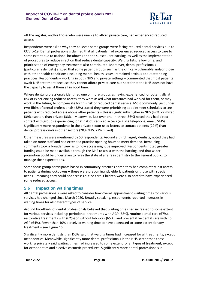

off the register, and/or those who were unable to afford private care, had experienced reduced access.

Respondents were asked why they believed some groups were facing reduced dental services due to COVID-19. Dental professionals claimed that all patients had experienced reduced access to care to some extent due to national lockdowns and the subsequent backlog, as well as the implementation of procedures to reduce infection that reduce dental capacity. Waiting lists, fallow time, and prioritisation of emergency treatments also contributed. Moreover, dental professionals (particularly dentists) argued that some patient groups such as the clinically vulnerable and/or those with other health conditions (including mental health issues) remained anxious about attending practices. Respondents – working in both NHS and private settings – commented that most patients await NHS treatment because they cannot afford private care but noted that the NHS does not have the capacity to assist them all in good time.

Where dental professionals identified one or more groups as having experienced, or potentially at risk of experiencing reduced access, they were asked what measures had worked for them, or may work in the future, to compensate for this risk of reduced dental service. Most commonly, just under two-fifths of dental professionals (38%) stated they were prioritising appointment schedules to see patients with reduced access above other patients – this is significantly higher in NHS (42%) or mixed (39%) sectors than private (33%). Meanwhile, just over one-in-three (36%) noted they had direct contact with groups experiencing, or at risk of, reduced access (e.g. via telephone, email, SMS). Significantly more respondents in the private sector used letters to contact patients (29%) than dental professionals in other sectors (20% NHS, 22% mixed).

Other measures were mentioned by 50 respondents. Around a third, largely dentists, noted they had taken on more staff and had extended practice opening hours to meet demand. Remaining comments took a broader view as to how access might be improved. Respondents noted greater funding could be made available through the NHS to assist with the backlog, and that wider promotion could be undertaken to relay the state of affairs in dentistry to the general public, to manage their expectations.

Some focus group participants based in community practices noted they had completely lost access to patients during lockdowns – these were predominantly elderly patients or those with special needs – meaning they could not access routine care. Children were also noted to have experienced some reduced access.

## <span id="page-37-0"></span>**5.6 Impact on waiting times**

All dental professionals were asked to consider how overall appointment waiting times for various services had changed since March 2020. Broadly speaking, respondents reported increases in waiting times for all different types of service.

Around two-thirds of dental professionals believed that waiting times had increased to some extent for various services including: periodontal treatments with AGP (68%), routine dental care (67%), restorative treatments with (62%) or without lab work (65%), and preventative dental care with no AGP (64%). Fewer than 10% perceived waiting time to have decreased to some extent for any treatment – see Figure 16.

Significantly more dentists than DCPs said that waiting times had increased for all treatments, except orthodontics. Meanwhile, significantly more dental professionals in the NHS sector than those working privately said waiting times had increased to some extent for all types of treatment, except for orthodontics and elective cosmetic procedures. Significantly more dental professionals in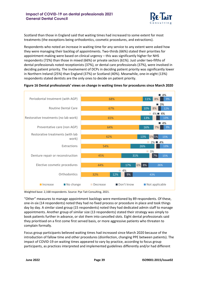

Scotland than those in England said that waiting times had increased to some extent for most treatments (the exceptions being orthodontics, cosmetic procedures, and extractions).

Respondents who noted an increase in waiting time for any service to any extent were asked how they were managing their backlog of appointments. Two-thirds (66%) stated their priorities for appointment-making were based on clinical urgency – this was significantly higher for NHS respondents (72%) than those in mixed (66%) or private sectors (61%). Just under two-fifths of dental professionals noted receptionists (37%), or dental care professionals (37%), were involved in deciding patient priority. The involvement of DCPs in deciding patient priority was significantly lower in Northern Ireland (25%) than England (37%) or Scotland (40%). Meanwhile, one-in-eight (13%) respondents stated dentists are the only ones to decide on patient priority.

#### <span id="page-38-0"></span>**Figure 16 Dental professionals' views on change in waiting times for procedures since March 2020**



Weighted base: 2,168 respondents. Source: Pye Tait Consulting, 2021.

"Other" measures to manage appointment backlogs were mentioned by 89 respondents. Of these, one-in-six (14 respondents) noted they had no fixed process or procedure in place and took things day by day. A similar sized group (15 respondents) noted they had dedicated admin staff to manage appointments. Another group of similar size (13 respondents) stated their strategy was simply to book patients further in advance, or slot them into cancelled slots. Eight dental professionals said they prioritised on a first come first served basis, or more aggressive patients who threaten to complain formally.

Focus group participants believed waiting times had increased since March 2020 because of the introduction of fallow time and other procedures (disinfection, changing PPE between patients). The impact of COVID-19 on waiting times appeared to vary by practice, according to focus group participants, as practices interpreted and implemented guidelines differently and/or had different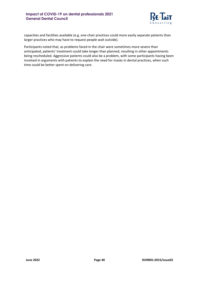

capacities and facilities available (e.g. one-chair practices could more easily separate patients than larger practices who may have to request people wait outside).

Participants noted that, as problems faced in the chair were sometimes more severe than anticipated, patients' treatment could take longer than planned, resulting in other appointments being rescheduled. Aggressive patients could also be a problem, with some participants having been involved in arguments with patients to explain the need for masks in dental practices, when such time could be better spent on delivering care.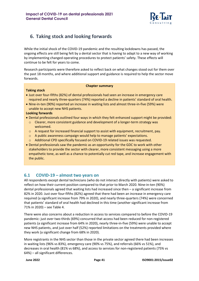

# <span id="page-40-0"></span>**6. Taking stock and looking forwards**

While the initial shock of the COVID-19 pandemic and the resulting lockdowns has passed, the ongoing effects are still being felt by a dental sector that is having to adapt to a new way of working by implementing changed operating procedures to protect patients' safety. These effects will continue to be felt for years to come.

Research participants were therefore asked to reflect back on what changes stood out for them over the past 18 months, and where additional support and guidance is required to help the sector move forwards.

#### **Chapter summary**

#### **Taking stock**

- Just over four-fifths (82%) of dental professionals had seen an increase in emergency care required and nearly three-quarters (74%) reported a decline in patients' standard of oral health.
- Nine-in-ten (90%) reported an increase in waiting lists and almost three-in-five (59%) were unable to accept new NHS patients.

#### **Looking forwards**

- Dental professionals outlined four ways in which they felt enhanced support might be provided:
	- $\circ$  Clearer, more consistent guidance and development of a longer-term strategy was welcomed.
	- o A request for increased financial support to assist with equipment, recruitment, pay.
	- o A public awareness campaign would help to manage patients' expectations.
	- o Additional CPD specifically focused on COVID-19 related issues was requested.
- Dental professionals saw the pandemic as an opportunity for the GDC to work with other stakeholders to provide the sector with clearer, more consistent messaging using a more empathetic tone, as well as a chance to potentially cut red tape, and increase engagement with the public.

## <span id="page-40-1"></span>**6.1 COVID-19 – almost two years on**

All respondents except dental technicians (who do not interact directly with patients) were asked to reflect on how their current position compared to that prior to March 2020. Nine-in-ten (90%) dental professionals agreed that waiting lists had increased since then – a significant increase from 82% in 2020. Just over four-fifths (82%) agreed that there had been an increase in emergency care required (a significant increase from 79% in 2020), and nearly three-quarters (74%) were concerned that patients' standard of oral health had declined in this time (another significant increase from 71% in 2020) – see Table 4.

There were also concerns about a reduction in access to services compared to before the COVID-19 pandemic: just over two-thirds (69%) concurred that access had been reduced for non-registered patients (a significant increase from 64% in 2020), nearly three-in-five (59%) were unable to accept new NHS patients, and just over half (52%) reported limitations on the treatments provided where they work (a significant change from 68% in 2020).

More registrants in the NHS sector than those in the private sector agreed there had been increases in waiting lists (96% vs 83%), emergency care (90% vs 75%), and referrals (66% vs 51%), and decreases in oral health (81% vs 68%), and access to services for non-registered patients (75% vs 64%) – all significant differences.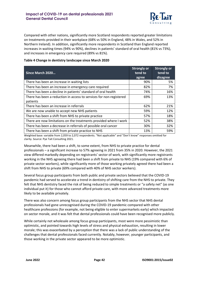

Compared with other nations, significantly more Scotland respondents reported greater limitations on treatments provided in their workplace (68% vs 50% in England, 48% in Wales, and 52% in Northern Ireland). In addition, significantly more respondents in Scotland than England reported increases in waiting times (94% vs 90%), declines in patients' standard of oral health (81% vs 73%), and increases in emergency care required (89% vs 81%).

<span id="page-41-0"></span>

|  | Table 4 Change in dentistry landscape since March 2020 |
|--|--------------------------------------------------------|
|--|--------------------------------------------------------|

| Since March 2020                                                    | <b>Strongly or</b><br>tend to<br>agree | <b>Strongly or</b><br>tend to<br>disagree |
|---------------------------------------------------------------------|----------------------------------------|-------------------------------------------|
| There has been an increase in waiting lists                         | 90%                                    | 5%                                        |
| There has been an increase in emergency care required               | 82%                                    | 7%                                        |
| There has been a decline in patients' standard of oral health       | 74%                                    | 16%                                       |
| There has been a reduction in access to services for non-registered | 69%                                    | 13%                                       |
| patients                                                            |                                        |                                           |
| There has been an increase in referrals                             | 62%                                    | 21%                                       |
| We are now unable to accept new NHS patients                        | 59%                                    | 12%                                       |
| There has been a shift from NHS to private practice                 | 57%                                    | 18%                                       |
| There are now limitations on the treatments provided where I work   | 52%                                    | 38%                                       |
| There has been a decrease in referrals of possible oral cancer      | 30%                                    | 32%                                       |
| There has been a shift from private practice to NHS                 | 13%                                    | 59%                                       |

Weighted base: variable from 2,059 to 2,072 respondents. "Not applicable" and "Don't know" responses omitted for clarity. Source: Pye Tait Consulting 2021.

Meanwhile, there had been a shift, to some extent, from NHS to private practice for dental professionals – a significant increase to 57% agreeing in 2021 from 35% in 2020. However, the 2021 view differed markedly depending on registrants' sector of work, with significantly more registrants working in the NHS agreeing there had been a shift from private to NHS (19% compared with 6% of private sector workers), while significantly more of those working privately agreed there had been a shift from NHS to private (69% compared with 40% of NHS sector workers).

Several focus group participants from both public and private sectors believed that the COVID-19 pandemic had served to accelerate a trend in dentistry of shifting care from the NHS to private. They felt that NHS dentistry faced the risk of being reduced to simple treatments or "a safety net" (as one individual put it) for those who cannot afford private care, with more advanced treatments more likely to be available privately.

There was also concern among focus group participants from the NHS sector that NHS dental professionals had gone unrecognised during the COVID-19 pandemic compared with other healthcare professions (for example, not being eligible to enter supermarkets early) which impacted on sector morale, and it was felt that dental professionals could have been recognised more publicly.

While certainly not wholesale among focus group participants, most were more pessimistic than optimistic, and pointed towards high levels of stress and physical exhaustion, resulting in lower morale; this was exacerbated by a perception that there was a lack of public understanding of the challenges that dental professionals faced currently. Notably, however, younger participants, and those working in the private sector appeared to be more optimistic.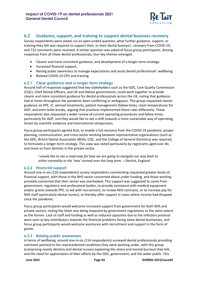

## <span id="page-42-0"></span>**6.2 Guidance, support, and training to support dental business recovery**

Survey respondents were asked, via an open-ended question, what further guidance, support, or training they felt was required to support their, or their dental business', recovery from COVID-19, and 732 comments were received. A similar question was asked of focus group participants. Among responses from all these dental professionals, four key themes emerged:

- Clearer and more consistent guidance, and development of a longer-term strategy.
- Increased financial support.
- Raising public awareness to manage expectations and assist dental professionals' wellbeing.
- Related COVID-19 CPD and training.

#### **6.2.1 Clear guidance and a longer-term strategy**

Around half of responses suggested that key stakeholders such as the GDC, Care Quality Commission (CQC), Chief Dental Officers, and UK and Nation governments, could work together to provide clearer and more consistent guidance for dental professionals across the UK, noting that guidance had at times throughout the pandemic been conflicting or ambiguous. This group requested clearer guidance on PPE, IC, aerosol treatments, patient management (fallow time), room temperatures for AGP, and even toilet breaks, arguing that practices implemented these rules differently. These respondents also requested a wider review of current operating procedures and fallow times, particularly for AGP, and they would like to see a shift towards a more sustainable way of operating, driven by scientific evidence and international comparisons.

Focus group participants agreed that, to enable a full recovery from the COVID-19 pandemic, proper planning, communication, and cross-sector working between representative organisations (such as the GDC, British Dental Association (BDA), CQC, and the College of General Dentistry) was required, to formulate a longer-term strategy. This view was noted particularly by registrants aged over 40, and more so from dentists in the private sector.

*I would like to see a road map for how we are going to navigate our way back to*  either normality or the 'new' normal over the long term. - Dentist, England

#### **6.2.2 Financial support**

Around one-in-six (120 respondents) survey respondents commenting requested greater levels of financial support, with those in the NHS sector concerned about under-funding, and those working privately concerned that their sector was overlooked. This support was suggested to come from government, regulatory and professional bodies, to provide assistance with medical equipment and/or grants towards PPE, to aid with recruitment, to review NHS contracts, or to increase pay for NHS staff (particularly dental nurses), to thereby offer support in cases where income had dropped since the pandemic.

Focus group participants would welcome increased support from government for both NHS and private sectors, noting the latter was being impacted by government regulations to the same extent as the former. Lack of staff and funding as well as reduced capacities due to the infection protocol were seen as key contributors towards the financial problems facing some dental businesses, and focus group participants would welcome assistance with recruitment and support in the form of grants.

#### **6.2.3 Raising public awareness**

In terms of wellbeing, around one-in-six (114 respondents) surveyed dental professionals providing comment pointed to the unprecedented conditions they were working under, with this group (comprising mainly dentists and dental nurses) explaining the stress and mental burnout they felt, and the need for appreciation of their efforts by the GDC, government, and the wider public. This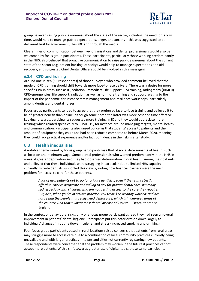

group believed raising public awareness about the state of the sector, including the need for fallow time, would help to manage public expectations, anger, and anxiety – this was suggested to be delivered best by government, the GDC and through the media.

Clearer lines of communication between key organisations and dental professionals would also be welcomed by focus group participants. These participants, particularly those working predominantly in the NHS, also believed that proactive communication to raise public awareness about the current state of the sector (e.g. patient backlog, capacity) would help to manage expectations and aid recovery, and suggested Chief Dental Officers could be involved in this messaging.

#### **6.2.4 CPD and training**

Around one-in-ten (68 respondents) of those surveyed who provided comment believed that the mode of CPD training should shift towards more face-to-face delivery. There was a desire for more specific CPD in areas such as IC, sedation, Immediate Life Support (ILS) training, radiography (IRMER), CPR/emergencies, life support, radiation, as well as for more training and support relating to the impact of the pandemic, for instance stress management and resilience workshops, particularly among dentists and dental nurses.

Focus group participants tended to agree that they preferred face-to-face training and believed it to be of greater benefit than online, although some noted the latter was more cost and time effective. Looking forwards, participants requested more training in IC and they would appreciate more training which related specifically to COVID-19, for instance around managing targets, mental health, and communication. Participants also raised concerns that students' access to patients and the amount of equipment they could use had been reduced compared to before March 2020, meaning they could lack practical experience and/or lack confidence in their skills after study.

## <span id="page-43-0"></span>**6.3 Health inequalities**

A notable theme raised by focus group participants was that of social determinants of health, such as location and minimum wage. Some dental professionals who worked predominantly in the NHS in areas of greater deprivation said they had observed deterioration in oral health among their patients and believed that these individuals were struggling in particular due to limited NHS capacity currently. Private dentists supported this view by noting how financial barriers were the main problem for access to care for these patients.

*A lot of new patients opt to go for private dentistry, even if they can't strictly afford it. They're desperate and willing to pay for private dental care. It's really sad, especially with children, who are not getting access to the care they require. But, also, when you're in private practice, you treat 'the wealthy worried' and are not seeing the people that really need dental care, which is in deprived areas of the country. And that's where most dental disease still exists.* – Dental therapist, England

In the context of behavioural risks, only one focus group participant agreed they had seen an overall improvement in patients' dental hygiene. Participants put this deterioration down largely to individuals' changes in routine (lower hygiene) and stress (increased smoking and drinking).

Four focus group participants based in rural locations raised concerns that patients from rural areas may struggle more to access care due to a combination of local community practices currently being unavailable and with larger practices in towns and cities not currently registering new patients. These respondents were concerned that the problem may worsen in the future if practices cannot accept more patients. With a shift towards greater use of digital tools, these same participants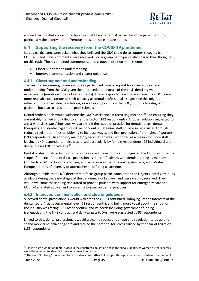

worried that limited access to technology might be a potential barrier for some patient groups, particularly the elderly in rural/remote areas, or those in care homes.

## <span id="page-44-0"></span>**6.4 Supporting the recovery from the COVID-19 pandemic**

Survey participants were asked what they believed the GDC could do to support recovery from COVID-19 and 1,140 comments were received. Focus group participants also shared their thoughts on this topic. These combined comments can be grouped into two main themes:

- Closer support and understanding.
- Improved communication and clearer guidance.

#### **6.4.1 Closer support and understanding**

The key message emerging among survey participants was a request for closer support and understanding from the GDC given the unprecedented nature of the crisis dentistry was experiencing (mentioned by 221 respondents). These respondents would welcome the GDC having more realistic expectations of their capacity as dental professionals, suggesting this might be reflected through existing regulations, as well as support from the GDC, not only to safeguard patients, but also to assist dental professionals.

Dental professionals would welcome the GDC's assistance in recruiting more staff and ensuring they are suitably trained and skilled to enter the sector (142 respondents). Another solution suggested to assist with skills gaps/shortages was to extend the scope of practice for dental nurses, dental therapists, and dental hygienists (20 respondents). Retaining staff could also be assisted through reduced registration fees or lobbying to increase wages and firm protection of the rights of workers (198 respondents). In addition, mandatory vaccination was mentioned as a reason for more staff leaving by 40 respondents – this was raised particularly by female respondents (28 individuals) and dental nurses (18 individuals). [16](#page-44-1)

Dental professionals in focus groups corroborated these points and suggested the GDC could use the scope of practice for dental care professionals more effectively, with dentists acting as mentors (similar to a GP practice), referencing similar set-ups in the US, Canada, Australia, and Western Europe in terms of diversity of approaches to offering treatments.

Although outside the GDC's direct remit, focus group participants noted the Urgent Dental Care hubs available during the early stages of the pandemic worked well and were warmly received. They would welcome these being reinstated to provide patients with support for emergency care and COVID-19 related advice, and to ease the burden on dental practices.

#### **6.4.2 Improved communication and clearer guidance**

Surveyed dental professionals would welcome the GDC's continued "lobbying" of the interests of the dental sector<sup>[17](#page-44-2)</sup> at governmental level (53 respondents), and being more vocal about the situation the industry was facing (221 respondents), and its needs including government funding (renegotiating the NHS contract and daily targets (UDAs) were suggested by 93 respondents).

Linked to this, dental professionals would welcome reduced red tape and regulation to be able to spend more time delivering care and reduce the potential for stress caused by the fear of litigation (135 respondents).

<span id="page-44-1"></span> $16$  Since a high number of dental nurses in the registrant population and in the survey identify as women further analysis would be required to identify if these outcomes interrelate.

<span id="page-44-2"></span><sup>&</sup>lt;sup>17</sup> The word "lobbying" is one used by respondents. No further follow-up with respondents was undertaken on this point.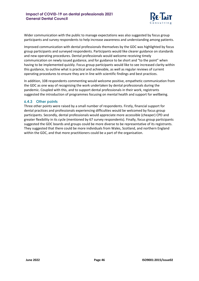

Wider communication with the public to manage expectations was also suggested by focus group participants and survey respondents to help increase awareness and understanding among patients.

Improved communication with dental professionals themselves by the GDC was highlighted by focus group participants and surveyed respondents. Participants would like clearer guidance on standards and new operating procedures. Dental professionals would welcome receiving timely communication on newly issued guidance, and for guidance to be short and "to the point" when having to be implemented quickly. Focus group participants would like to see increased clarity within this guidance, to outline what is practical and achievable, as well as regular reviews of current operating procedures to ensure they are in line with scientific findings and best practices.

In addition, 108 respondents commenting would welcome positive, empathetic communication from the GDC as one way of recognising the work undertaken by dental professionals during the pandemic. Coupled with this, and to support dental professionals in their work, registrants suggested the introduction of programmes focusing on mental health and support for wellbeing.

#### **6.4.3 Other points**

Three other points were raised by a small number of respondents. Firstly, financial support for dental practices and professionals experiencing difficulties would be welcomed by focus group participants. Secondly, dental professionals would appreciate more accessible (cheaper) CPD and greater flexibility in its cycle (mentioned by 67 survey respondents). Finally, focus group participants suggested the GDC boards and groups could be more diverse to be representative of its registrants. They suggested that there could be more individuals from Wales, Scotland, and northern England within the GDC, and that more practitioners could be a part of the organisation.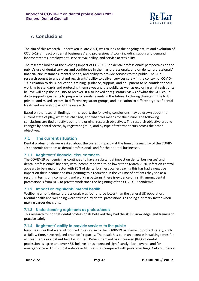

# <span id="page-46-0"></span>**7. Conclusions**

The aim of this research, undertaken in late 2021, was to look at the ongoing nature and evolution of COVID-19's impact on dental businesses' and professionals' work including supply and demand, income streams, employment, service availability, and service accessibility.

The research looked at the evolving impact of COVID-19 on dental professionals' perspectives on the public's use of dental services and confidence in them as professionals, and on dental professionals' financial circumstances, mental health, and ability to provide services to the public. The 2021 research sought to understand registrants' ability to deliver services safely in the context of COVID-19 in relation to skills, education, training, guidance, support, and equipment to be confident about working to standards and protecting themselves and the public, as well as exploring what registrants believe will help the industry to recover. It also looked at registrants' views of what the GDC could do to support registrants to prepare for similar events in the future. Exploring changes in the NHS, private, and mixed sectors, in different registrant groups, and in relation to different types of dental treatment were also part of the research.

Based on the research findings in this report, the following conclusions may be drawn about the current state of play, what has changed, and what this means for the future. The following conclusions are tied directly back to the original research objectives. The research objective around changes by dental sector, by registrant group, and by type of treatment cuts across the other objectives.

## <span id="page-46-1"></span>**7.1 The current situation**

Dental professionals were asked about the current impact – at the time of research – of the COVID-19 pandemic for them as dental professionals and for their dental businesses.

## **7.1.1 Registrants' financial circumstances**

The COVID-19 pandemic has continued to have a substantial impact on dental businesses' and dental professionals' finances, with income reported to be lower than March 2020. Infection control appears to be a major factor with 85% of dental business owners saying this has had a negative impact on their income and 88% pointing to a reduction in the volume of patients they see as a result. In terms of income split and working patterns, there is evidence of a shift among dental professionals from NHS to private work since the beginning of the COVID-19 pandemic.

## **7.1.2 Impact on registrants' mental health**

Wellbeing among dental professionals was found to be lower than the general UK population. Mental health and wellbeing were stressed by dental professionals as being a primary factor when making career decisions.

## **7.1.3 Understanding registrants as professionals**

This research found that dental professionals believed they had the skills, knowledge, and training to practise safely.

## **7.1.4 Registrants' ability to provide services to the public**

New measures that were introduced in response to the COVID-19 pandemic to protect safety, such as fallow time, have reduced practices' capacity. The result has been an increase in waiting times for all treatments as a patient backlog formed. Patient demand has increased (84% of dental professionals agree and over 48% believe it has increased significantly), both overall and for emergency care. This is most notable in NHS settings compared with private settings. Net confidence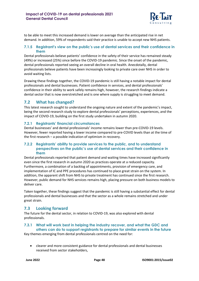

to be able to meet this increased demand is lower on average than the anticipated rise in net demand. In addition, 59% of respondents said their practice is unable to accept new NHS patients.

#### **7.1.5 Registrant's view on the public's use of dental services and their confidence in them**

Dental professionals believe patients' confidence in the safety of their service has remained steady (49%) or increased (25%) since before the COVID-19 pandemic. Since the onset of the pandemic, dental professionals reported seeing an overall decline in oral health. Anecdotally, dental professionals believe patients have been increasingly looking to private care over NHS in order to avoid waiting lists.

Drawing these findings together, the COVID-19 pandemic is still having a notable impact for dental professionals and dental businesses. Patient confidence in services, and dental professionals' confidence in their ability to work safely remains high, however, the research findings indicate a dental sector that is now overstretched and is one where supply is struggling to meet demand.

## <span id="page-47-0"></span>**7.2 What has changed?**

This latest research sought to understand the ongoing nature and extent of the pandemic's impact, being the second research study to explore dental professionals' perceptions, experiences, and the impact of COVID-19, building on the first study undertaken in autumn 2020.

#### **7.2.1 Registrants' financial circumstances**

Dental businesses' and dental professionals' income remains lower than pre-COVID-19 levels. However, fewer reported having a lower income compared to pre-COVID levels than at the time of the first research – a possible indication of optimism in recovery.

#### **7.2.2 Registrants' ability to provide services to the public, and to understand perspectives on the public's use of dental services and their confidence in them**

Dental professionals reported that patient demand and waiting times have increased significantly even since the first research in autumn 2020 as practices operate at a reduced capacity. Furthermore, a combination of a backlog of appointments, provision of emergency care, and implementation of IC and PPE procedures has continued to place great strain on the system. In addition, the apparent shift from NHS to private treatment has continued since the first research. However, public demand for NHS services remains high, placing pressure on both business models to deliver care.

Taken together, these findings suggest that the pandemic is still having a substantial effect for dental professionals and dental businesses and that the sector as a whole remains stretched and under great strain.

## <span id="page-47-1"></span>**7.3 Looking forward**

The future for the dental sector, in relation to COVID-19, was also explored with dental professionals.

## **7.3.1 What will work best in helping the industry recover, and what the GDC and others can do to support registrants to prepare for similar events in the future**

Key themes emerging from dental professionals centred on the need for:

• clearer and more consistent guidance for dental professionals and dental businesses received from sector stakeholders,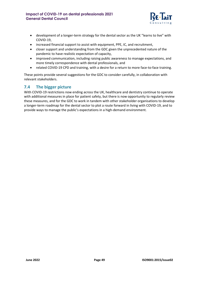

- development of a longer-term strategy for the dental sector as the UK "learns to live" with COVID-19,
- increased financial support to assist with equipment, PPE, IC, and recruitment,
- closer support and understanding from the GDC given the unprecedented nature of the pandemic to have realistic expectation of capacity,
- improved communication, including raising public awareness to manage expectations, and more timely correspondence with dental professionals, and
- related COVID-19 CPD and training, with a desire for a return to more face-to-face training.

These points provide several suggestions for the GDC to consider carefully, in collaboration with relevant stakeholders.

## <span id="page-48-0"></span>**7.4 The bigger picture**

With COVID-19 restrictions now ending across the UK, healthcare and dentistry continue to operate with additional measures in place for patient safety, but there is now opportunity to regularly review these measures, and for the GDC to work in tandem with other stakeholder organisations to develop a longer-term roadmap for the dental sector to plot a route forward in living with COVID-19, and to provide ways to manage the public's expectations in a high-demand environment.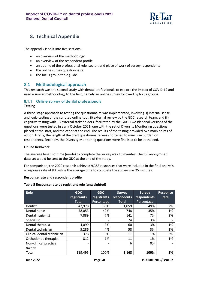

# <span id="page-49-0"></span>**8. Technical Appendix**

The appendix is split into five sections:

- an overview of the methodology
- an overview of the respondent profile
- an outline of the professional role, sector, and place of work of survey respondents
- the online survey questionnaire
- <span id="page-49-1"></span>• the focus group topic guide.

## **8.1 Methodological approach**

This research was the second study with dental professionals to explore the impact of COVID-19 and used a similar methodology to the first, namely an online survey followed by focus groups.

## **8.1.1 Online survey of dental professionals**

#### **Testing**

A three-stage approach to testing the questionnaire was implemented, involving: i) internal senseand logic-testing of the scripted online tool, ii) external review by the GDC research team, and iii) cognitive testing with 13 external stakeholders, facilitated by the GDC. Two identical versions of the questions were tested in early October 2021, one with the set of Diversity Monitoring questions placed at the start, and the other at the end. The results of the testing provided two main points of action. Firstly, the length of the draft questionnaire was shortened to minimise burden on respondents. Secondly, the Diversity Monitoring questions were finalised to be at the end.

#### **Online fieldwork**

The average length of time (mode) to complete the survey was 15 minutes. The full anonymised data set would be sent to the GDC at the end of the study.

For comparison, the 2020 research achieved 9,388 responses that were included in the final analysis, a response rate of 8%, while the average time to complete the survey was 25 minutes.

#### **Response rate and respondent profile**

#### <span id="page-49-2"></span>**Table 5 Response rate by registrant role (unweighted)**

| Role                       | <b>GDC</b>  | <b>GDC</b>  | <b>Survey</b> | <b>Survey</b> | <b>Response</b> |
|----------------------------|-------------|-------------|---------------|---------------|-----------------|
|                            | registrants | registrants | respondents   | respondents   | rate            |
|                            | Total       | Percentage  | <b>Total</b>  | Percentage    |                 |
| Dentist                    | 42,978      | 36%         | 1,059         | 49%           | 2%              |
| Dental nurse               | 58,053      | 49%         | 748           | 35%           | 1%              |
| Dental hygienist           | 7,889       | 7%          | 141           | 7%            | 2%              |
| Specialist                 |             |             | 74            | 3%            |                 |
| Dental therapist           | 4,099       | 3%          | 60            | 3%            | 1%              |
| Dental technician          | 5,286       | 4%          | 58            | 3%            | 1%              |
| Clinical dental technician | 378         | 0%          | 11            | 1%            | 3%              |
| Orthodontic therapist      | 812         | 1%          | 11            | 1%            | 1%              |
| Non-clinical practice      |             |             | 6             | 0%            |                 |
| owner                      |             |             |               |               |                 |
| Total                      | 119,495     | 100%        | 2,168         | 100%          | 2%              |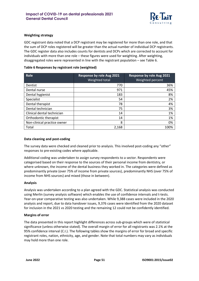

#### **Weighting strategy**

GDC registrant data noted that a DCP registrant may be registered for more than one role, and that the sum of DCP roles registered will be greater than the actual number of individual DCP registrants. The GDC register data also includes counts for dentists and DCPs which are corrected to account for individuals with more than one role – these figures were used for weighting. After weighting, disaggregated roles were represented in line with the registrant population – see Table 6.

#### <span id="page-50-0"></span>**Table 6 Responses by registrant role (weighted)**

| <b>Role</b>                 | <b>Response by role Aug 2021</b><br>Weighted total | <b>Response by role Aug 2021</b><br>Weighted percent |
|-----------------------------|----------------------------------------------------|------------------------------------------------------|
| Dentist                     | 770                                                | 36%                                                  |
| Dental nurse                | 971                                                | 45%                                                  |
| Dental hygienist            | 183                                                | 8%                                                   |
| Specialist                  | 54                                                 | 2%                                                   |
| Dental therapist            | 78                                                 | 4%                                                   |
| Dental technician           | 75                                                 | 3%                                                   |
| Clinical dental technician  | 14                                                 | 1%                                                   |
| Orthodontic therapist       | 14                                                 | 1%                                                   |
| Non-clinical practice owner | 8                                                  | 0%                                                   |
| Total                       | 2,168                                              | 100%                                                 |

#### **Data cleaning and post-coding**

The survey data were checked and cleaned prior to analysis. This involved post-coding any "other" responses to pre-existing codes where applicable.

Additional coding was undertaken to assign survey respondents to a sector. Respondents were categorised based on their response to the sources of their personal income from dentistry, or where unknown, the income of the dental business they worked in. The categories were defined as predominantly private (over 75% of income from private sources), predominantly NHS (over 75% of income from NHS sources) and mixed (those in between).

#### **Analysis**

Analysis was undertaken according to a plan agreed with the GDC. Statistical analysis was conducted using Merlin (survey analysis software) which enables the use of confidence intervals and t-tests. Year-on-year comparative testing was also undertaken. While 9,388 cases were included in the 2020 analysis and report, due to data handover issues, 9,376 cases were identified from the 2020 dataset for inclusion in the 2021 vs 2020 testing and the remaining 12 could not be confidently identified.

#### **Margins of error**

The data presented in this report highlight differences across sub-groups which were of statistical significance (unless otherwise stated). The overall margin of error for all registrants was 2.1% at the 95% confidence interval (C.I.). The following tables show the margins of error for broad and specific registrant roles, nation, ethnicity, age, and gender. Note that total numbers may vary as individuals may hold more than one role.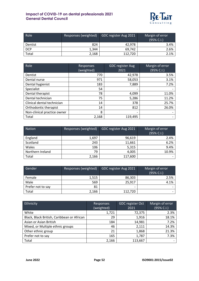## **Impact of COVID-19 on dental professionals 2021 General Dental Council**



| Role       | Responses (weighted) | GDC register Aug 2021 | Margin of error<br>(95% C.I.) |
|------------|----------------------|-----------------------|-------------------------------|
| Dentist    | 824                  | 42,978                | 3.4%                          |
| <b>DCP</b> | 1,344                | 69.742                | 2.6%                          |
| Total      | 2,168                | 112,720               | 2.1%                          |

| Role                        | <b>Responses</b> | <b>GDC register Aug</b>  | Margin of error |
|-----------------------------|------------------|--------------------------|-----------------|
|                             | (weighted)       | 2021                     | (95% C.I.)      |
| Dentist                     | 770              | 42,978                   | 3.5%            |
| Dental nurse                | 971              | 58,053                   | 3.1%            |
| Dental hygienist            | 183              | 7,889                    | 7.2%            |
| Specialist                  | 54               |                          |                 |
| Dental therapist            | 78               | 4,099                    | 11.0%           |
| Dental technician           | 75               | 5,286                    | 11.2%           |
| Clinical dental technician  | 14               | 378                      | 25.7%           |
| Orthodontic therapist       | 14               | 812                      | 26.0%           |
| Non-clinical practice owner | 8                | $\overline{\phantom{a}}$ |                 |
| Total                       | 2,168            | 119,495                  |                 |

| <b>Nation</b>    | Responses (weighted) | GDC register Aug 2021 | Margin of error<br>(95% C.I.) |
|------------------|----------------------|-----------------------|-------------------------------|
| England          | 1,697                | 96,619                | 2.4%                          |
| Scotland         | 243                  | 11,661                | 6.2%                          |
| Wales            | 106                  | 5,315                 | 9.4%                          |
| Northern Ireland | 79                   | 4,005                 | 10.9%                         |
| Total            | 2,166                | 117,600               |                               |

| Gender            | Responses (weighted) | GDC register Aug 2021    | Margin of error<br>(95% C.1.) |
|-------------------|----------------------|--------------------------|-------------------------------|
| Female            | 1,515                | 86,303                   | 2.5%                          |
| Male              | 569                  | 25,917                   | 4.1%                          |
| Prefer not to say | 81                   | $\overline{\phantom{0}}$ |                               |
| Total             | 2,166                | 112,720                  |                               |

| Ethnicity                                  | Responses<br>(weighted) | <b>GDC</b> register Oct<br>2021 | Margin of error<br>(95% C.I.) |
|--------------------------------------------|-------------------------|---------------------------------|-------------------------------|
| White                                      | 1,721                   | 72,375                          | 2.3%                          |
| Black, Black British, Caribbean or African | 29                      | 1,916                           | 18.1%                         |
| Asian or Asian British                     | 184                     | 14,981                          | 7.2%                          |
| Mixed, or Multiple ethnic groups           | 46                      | 2,111                           | 14.3%                         |
| Other ethnic group                         | 21                      | 1,868                           | 21.3%                         |
| Prefer not to say                          | 165                     | 1,787                           | 7.3%                          |
| Total                                      | 2,166                   | 113,667                         |                               |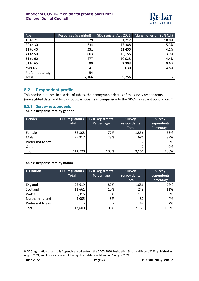

| Age               | Responses (weighted) | GDC register Aug 2021 | Margin of error (95% C.I.) |
|-------------------|----------------------|-----------------------|----------------------------|
| 16 to 21          | 29                   | 1,712                 | 18.0%                      |
| 22 to 30          | 334                  | 17,388                | 5.3%                       |
| 31 to 40          | 531                  | 22,455                | 4.2%                       |
| 41 to 50          | 603                  | 15,155                | 3.9%                       |
| 51 to 60          | 477                  | 10,023                | 4.4%                       |
| 61 to 65          | 99                   | 2,393                 | 9.6%                       |
| over 65           | 41                   | 630                   | 14.8%                      |
| Prefer not to say | 54                   | -                     |                            |
| Total             | 2,166                | 69,756                | $\overline{\phantom{a}}$   |

## <span id="page-52-0"></span>**8.2 Respondent profile**

This section outlines, in a series of tables, the demographic details of the survey respondents (unweighted data) and focus group participants in comparison to the GDC's registrant population.<sup>[18](#page-52-3)</sup>

#### **8.2.1 Survey respondents**

#### <span id="page-52-1"></span>**Table 7 Response rate by gender**

| Gender            | <b>GDC</b> registrants<br>Total | <b>GDC</b> registrants<br>Percentage | <b>Survey</b><br>respondents<br><b>Total</b> | <b>Survey</b><br>respondents<br>Percentage |
|-------------------|---------------------------------|--------------------------------------|----------------------------------------------|--------------------------------------------|
| Female            | 86,803                          | 77%                                  | 1,356                                        | 63%                                        |
| Male              | 25,917                          | 23%                                  | 686                                          | 32%                                        |
| Prefer not to say | $\overline{\phantom{0}}$        | $\overline{\phantom{a}}$             | 117                                          | 5%                                         |
| Other             |                                 | -                                    |                                              | 0%                                         |
| Total             | 112,720                         | 100%                                 | 2,161                                        | 100%                                       |

#### <span id="page-52-2"></span>**Table 8 Response rate by nation**

| UK nation         | <b>GDC</b> registrants<br><b>Total</b> | <b>GDC registrants</b><br>Percentage | <b>Survey</b><br>respondents | <b>Survey</b><br>respondents |
|-------------------|----------------------------------------|--------------------------------------|------------------------------|------------------------------|
|                   |                                        |                                      | <b>Total</b>                 | Percentage                   |
| England           | 96,619                                 | 82%                                  | 1686                         | 78%                          |
| Scotland          | 11,661                                 | 10%                                  | 248                          | 11%                          |
| Wales             | 5,315                                  | 5%                                   | 110                          | 5%                           |
| Northern Ireland  | 4,005                                  | 3%                                   | 80                           | 4%                           |
| Prefer not to say |                                        |                                      | 42                           | 2%                           |
| Total             | 117,600                                | 100%                                 | 2,166                        | 100%                         |

<span id="page-52-3"></span><sup>&</sup>lt;sup>18</sup> GDC registration data in this Appendix are taken from the GDC's 2020 Registration Statistical Report 2020, published in August 2021, and from a snapshot of the registrant database taken on 16 August 2021.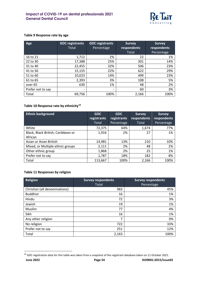

#### <span id="page-53-0"></span>**Table 9 Response rate by age**

| Age               | <b>GDC</b> registrants<br>Total | <b>GDC registrants</b><br>Percentage | <b>Survey</b><br>respondents<br><b>Total</b> | <b>Survey</b><br>respondents<br>Percentage |
|-------------------|---------------------------------|--------------------------------------|----------------------------------------------|--------------------------------------------|
| 16 to 21          | 1,712                           | 2%                                   | 22                                           | 1%                                         |
| 22 to 30          | 17,388                          | 25%                                  | 301                                          | 14%                                        |
| 31 to 40          | 22,455                          | 32%                                  | 506                                          | 23%                                        |
| 41 to 50          | 15,155                          | 22%                                  | 622                                          | 29%                                        |
| 51 to 60          | 10,023                          | 14%                                  | 499                                          | 23%                                        |
| 61 to 65          | 2,393                           | 3%                                   | 108                                          | 5%                                         |
| over 65           | 630                             | 1%                                   | 48                                           | 2%                                         |
| Prefer not to say | -                               | $\overline{\phantom{0}}$             | 60                                           | 3%                                         |
| Total             | 69,756                          | 100%                                 | 2,166                                        | 100%                                       |

## <span id="page-53-1"></span>**Table 10 Response rate by ethnicity[19](#page-53-3)**

| <b>Ethnic background</b>           | <b>GDC</b><br>registrants | <b>GDC</b><br>registrants | <b>Survey</b><br>respondents | <b>Survey</b><br>respondents |
|------------------------------------|---------------------------|---------------------------|------------------------------|------------------------------|
|                                    | Total                     | Percentage                | Total                        | Percentage                   |
| White                              | 72,375                    | 64%                       | 1,674                        | 77%                          |
| Black, Black British, Caribbean or | 1,916                     | 2%                        | 27                           | 1%                           |
| African                            |                           |                           |                              |                              |
| Asian or Asian British             | 14,981                    | 13%                       | 210                          | 10%                          |
| Mixed, or Multiple ethnic groups   | 2,111                     | 2%                        | 48                           | 2%                           |
| Other ethnic group                 | 1,868                     | 2%                        | 25                           | 1%                           |
| Prefer not to say                  | 1,787                     | 18%                       | 182                          | 8%                           |
| Total                              | 113,667                   | 100%                      | 2,166                        | 100%                         |

#### <span id="page-53-2"></span>**Table 11 Responses by religion**

| Religion                      | <b>Survey respondents</b><br>Total | <b>Survey respondents</b><br>Percentage |
|-------------------------------|------------------------------------|-----------------------------------------|
| Christian (all denominations) | 983                                | 45%                                     |
| <b>Buddhist</b>               | 16                                 | 1%                                      |
| Hindu                         | 72                                 | 3%                                      |
| Jewish                        | 19                                 | 1%                                      |
| Muslim                        | 77                                 | 4%                                      |
| Sikh                          | 16                                 | 1%                                      |
| Any other religion            | 7                                  | 0%                                      |
| No religion                   | 722                                | 33%                                     |
| Prefer not to say             | 251                                | 12%                                     |
| Total                         | 2,163                              | 100%                                    |

<span id="page-53-3"></span> $19$  GDC registration data for this table was taken from a snapshot of the registrant database taken on 11 October 2021.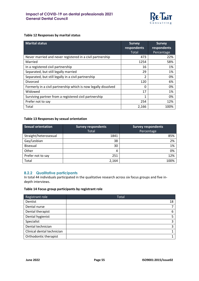

#### <span id="page-54-0"></span>**Table 12 Responses by marital status**

| <b>Marital status</b>                                          | <b>Survey</b><br>respondents<br><b>Total</b> | <b>Survey</b><br>respondents<br>Percentage |
|----------------------------------------------------------------|----------------------------------------------|--------------------------------------------|
| Never married and never registered in a civil partnership      | 473                                          | 22%                                        |
| Married                                                        | 1254                                         | 58%                                        |
| In a registered civil partnership                              | 16                                           | 1%                                         |
| Separated, but still legally married                           | 29                                           | 1%                                         |
| Separated, but still legally in a civil partnership            | 2                                            | 0%                                         |
| Divorced                                                       | 120                                          | 6%                                         |
| Formerly in a civil partnership which is now legally dissolved | 0                                            | 0%                                         |
| Widowed                                                        | 17                                           | 1%                                         |
| Surviving partner from a registered civil partnership          | 1                                            | 0%                                         |
| Prefer not to say                                              | 254                                          | 12%                                        |
| Total                                                          | 2,166                                        | 100%                                       |

## <span id="page-54-1"></span>**Table 13 Responses by sexual orientation**

| Sexual orientation    | <b>Survey respondents</b><br>Total | <b>Survey respondents</b><br>Percentage |
|-----------------------|------------------------------------|-----------------------------------------|
| Straight/heterosexual | 1841                               | 85%                                     |
| Gay/Lesbian           | 38                                 | 2%                                      |
| <b>Bisexual</b>       | 30                                 | 1%                                      |
| Other                 | 4                                  | 0%                                      |
| Prefer not to say     | 251                                | 12%                                     |
| Total                 | 2,164                              | 100%                                    |

### **8.2.2 Qualitative participants**

In total 44 individuals participated in the qualitative research across six focus groups and five indepth interviews.

#### <span id="page-54-2"></span>**Table 14 Focus group participants by registrant role**

| Registrant role            | <b>Total</b> |
|----------------------------|--------------|
| Dentist                    | 18           |
| Dental nurse               |              |
| Dental therapist           | 6            |
| Dental hygienist           |              |
| Specialist                 | э            |
| Dental technician          | э            |
| Clinical dental technician |              |
| Orthodontic therapist      |              |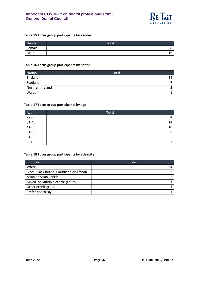

#### <span id="page-55-0"></span>**Table 15 Focus group participants by gender**

| Gender | <b>Total</b>                   |
|--------|--------------------------------|
| Female | ിറ<br>ᅩ                        |
| Male   | $\overline{\phantom{a}}$<br>16 |

#### <span id="page-55-1"></span>**Table 16 Focus group participants by nation**

| <b>Nation</b>    | <b>Total</b> |
|------------------|--------------|
| England          | 34           |
| Scotland         |              |
| Northern Ireland |              |
| Wales            |              |

#### <span id="page-55-2"></span>**Table 17 Focus group participants by age**

|              | Total |
|--------------|-------|
| Age<br>22-30 | 4     |
| $31 - 40$    | 14    |
| $41-50$      | 10    |
| $51 - 60$    | q     |
| $61-65$      |       |
| $65+$        | ∽     |

#### <span id="page-55-3"></span>**Table 18 Focus group participants by ethnicity**

| Ethnicity                                  | Total |
|--------------------------------------------|-------|
| White                                      | 34    |
| Black, Black British, Caribbean or African |       |
| Asian or Asian British                     |       |
| Mixed, or Multiple ethnic groups           |       |
| Other ethnic group                         |       |
| Prefer not to say                          |       |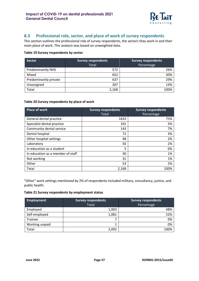

## <span id="page-56-0"></span>**8.3 Professional role, sector, and place of work of survey respondents**

This section outlines the professional role of survey respondents, the sectors they work in and their main place of work. This analysis was based on unweighted data.

#### <span id="page-56-1"></span>**Table 19 Survey respondents by sector**

| <b>Sector</b>            | <b>Survey respondents</b><br><b>Total</b> | <b>Survey respondents</b> |
|--------------------------|-------------------------------------------|---------------------------|
|                          |                                           | Percentage                |
| <b>Predominantly NHS</b> | 572                                       | 26%                       |
| Mixed                    | 652                                       | 30%                       |
| Predominantly private    | 637                                       | 29%                       |
| Unassigned               | 307                                       | 14%                       |
| Total                    | 2,168                                     | 100%                      |

#### <span id="page-56-2"></span>**Table 20 Survey respondents by place of work**

| <b>Place of work</b>              | <b>Survey respondents</b><br>Total | <b>Survey respondents</b><br>Percentage |
|-----------------------------------|------------------------------------|-----------------------------------------|
| General dental practice           | 1633                               | 75%                                     |
| Specialist dental practice        | 101                                | 5%                                      |
| Community dental service          | 143                                | 7%                                      |
| Dental hospital                   | 72                                 | 3%                                      |
| Other hospital settings           | 48                                 | 2%                                      |
| Laboratory                        | 50                                 | 2%                                      |
| In education as a student         | 5                                  | 0%                                      |
| In education as a member of staff | 30                                 | 1%                                      |
| Not working                       | 31                                 | 1%                                      |
| Other                             | 53                                 | 2%                                      |
| Total                             | 2,168                              | 100%                                    |

"Other" work settings mentioned by 2% of respondents included military, consultancy, justice, and public health.

#### <span id="page-56-3"></span>**Table 21 Survey respondents by employment status**

| <b>Employment</b> | <b>Survey respondents</b> | <b>Survey respondents</b> |
|-------------------|---------------------------|---------------------------|
|                   | <b>Total</b>              | Percentage                |
| Employed          | 1,003                     | 48%                       |
| Self-employed     | 1,081                     | 52%                       |
| Trainee           |                           | 0%                        |
| Working unpaid    |                           | 0%                        |
| Total             | 2,092                     | 100%                      |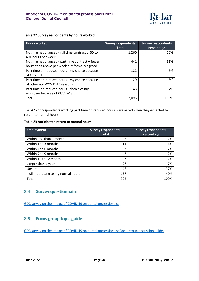

#### <span id="page-57-2"></span>**Table 22 Survey respondents by hours worked**

| <b>Hours worked</b>                               | <b>Survey respondents</b><br>Total | <b>Survey respondents</b><br>Percentage |
|---------------------------------------------------|------------------------------------|-----------------------------------------|
| Nothing has changed - full time contract c. 30 to | 1,260                              | 60%                                     |
| 40+ hours per week                                |                                    |                                         |
| Nothing has changed - part time contract - fewer  | 441                                | 21%                                     |
| hours than above per week but formally agreed     |                                    |                                         |
| Part time on reduced hours - my choice because    | 122                                | 6%                                      |
| of COVID-19                                       |                                    |                                         |
| Part time on reduced hours - my choice because    | 129                                | 6%                                      |
| of other non-COVID-19 reasons                     |                                    |                                         |
| Part time on reduced hours - choice of my         | 143                                | 7%                                      |
| employer because of COVID-19                      |                                    |                                         |
| Total                                             | 2,095                              | 100%                                    |

The 20% of respondents working part time on reduced hours were asked when they expected to return to normal hours.

#### <span id="page-57-3"></span>**Table 23 Anticipated return to normal hours**

| <b>Employment</b>                    | <b>Survey respondents</b> | <b>Survey respondents</b> |
|--------------------------------------|---------------------------|---------------------------|
|                                      | Total                     | Percentage                |
| Within less than 1 month             | 6                         | 2%                        |
| Within 1 to 3 months                 | 14                        | 4%                        |
| Within 4 to 6 months                 | 27                        | 7%                        |
| Within 7 to 9 months                 | 8                         | 2%                        |
| Within 10 to 12 months               | 7                         | 2%                        |
| Longer than a year                   | 27                        | 7%                        |
| Unsure                               | 146                       | 37%                       |
| I will not return to my normal hours | 157                       | 40%                       |
| Total                                | 392                       | 100%                      |

## <span id="page-57-0"></span>**8.4 Survey questionnaire**

[GDC survey on the impact of COVID-19 on dental professionals.](https://www.gdc-uk.org/docs/default-source/covid-19/gdc-covid-impact-2021-survey-final-2.pdf?sfvrsn=44b7bcdf_5/)

## <span id="page-57-1"></span>**8.5 Focus group topic guide**

[GDC survey on the impact of COVID-19 on dental professionals: Focus group discussion guide.](https://www.gdc-uk.org/docs/default-source/covid-19/gdc-covid-impact-focus-group-discussion-guide-final.pdf?sfvrsn=8870b551_7/)